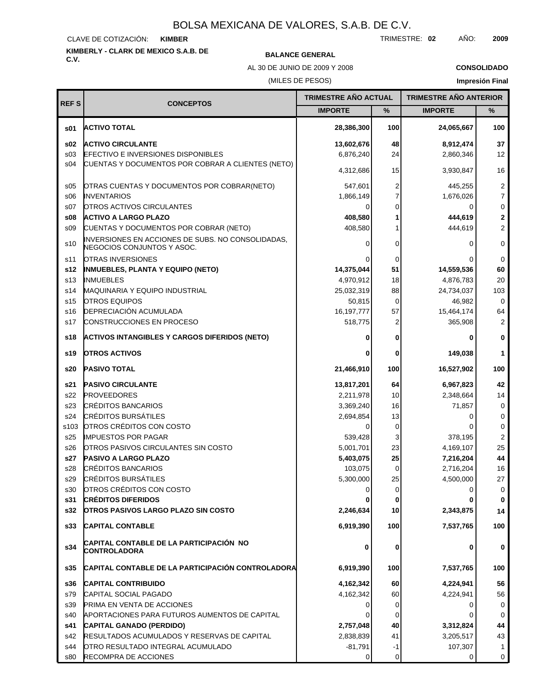#### CLAVE DE COTIZACIÓN: **KIMBER**

# **KIMBERLY - CLARK DE MEXICO S.A.B. DE C.V. BALANCE GENERAL**

AL 30 DE JUNIO DE 2009 Y 2008

**CONSOLIDADO**

#### (MILES DE PESOS)

| <b>REFS</b>     | <b>CONCEPTOS</b>                                                                | TRIMESTRE AÑO ACTUAL |             | <b>TRIMESTRE AÑO ANTERIOR</b> |                |
|-----------------|---------------------------------------------------------------------------------|----------------------|-------------|-------------------------------|----------------|
|                 |                                                                                 | <b>IMPORTE</b>       | %           | <b>IMPORTE</b>                | %              |
| s01             | <b>ACTIVO TOTAL</b>                                                             | 28,386,300           | 100         | 24,065,667                    | 100            |
| \$02            | <b>ACTIVO CIRCULANTE</b>                                                        | 13,602,676           | 48          | 8,912,474                     | 37             |
| \$03            | <b>EFECTIVO E INVERSIONES DISPONIBLES</b>                                       | 6,876,240            | 24          | 2,860,346                     | 12             |
| s04             | CUENTAS Y DOCUMENTOS POR COBRAR A CLIENTES (NETO)                               | 4,312,686            | 15          | 3,930,847                     | 16             |
| \$05            | OTRAS CUENTAS Y DOCUMENTOS POR COBRAR(NETO)                                     | 547,601              | 2           | 445,255                       | $\overline{c}$ |
| \$06            | <b>INVENTARIOS</b>                                                              | 1,866,149            |             | 1,676,026                     | $\overline{7}$ |
| s07             | OTROS ACTIVOS CIRCULANTES                                                       | 0                    | 0           | 0                             | $\pmb{0}$      |
| \$08            | <b>ACTIVO A LARGO PLAZO</b>                                                     | 408,580              |             | 444,619                       | $\mathbf{2}$   |
| \$09            | CUENTAS Y DOCUMENTOS POR COBRAR (NETO)                                          | 408,580              |             | 444,619                       | $\overline{c}$ |
| s10             | INVERSIONES EN ACCIONES DE SUBS. NO CONSOLIDADAS,<br>NEGOCIOS CONJUNTOS Y ASOC. | 0                    | 0           | $\Omega$                      | 0              |
| s11             | <b>OTRAS INVERSIONES</b>                                                        |                      | 0           |                               | 0              |
| s12             | INMUEBLES, PLANTA Y EQUIPO (NETO)                                               | 14,375,044           | 51          | 14,559,536                    | 60             |
| s <sub>13</sub> | <b>INMUEBLES</b>                                                                | 4,970,912            | 18          | 4,876,783                     | 20             |
| s14             | <b>MAQUINARIA Y EQUIPO INDUSTRIAL</b>                                           | 25,032,319           | 88          | 24,734,037                    | 103            |
| s15             | <b>OTROS EQUIPOS</b>                                                            | 50,815               | 0           | 46,982                        | 0              |
| s16             | DEPRECIACIÓN ACUMULADA                                                          | 16, 197, 777         | 57          | 15,464,174                    | 64             |
| s17             | CONSTRUCCIONES EN PROCESO                                                       | 518,775              | 2           | 365,908                       | 2              |
| s18             | <b>ACTIVOS INTANGIBLES Y CARGOS DIFERIDOS (NETO)</b>                            | 0                    | 0           |                               | $\bf{0}$       |
| s19             | <b>OTROS ACTIVOS</b>                                                            | 0                    | 0           | 149,038                       | 1              |
| s20             | <b>PASIVO TOTAL</b>                                                             | 21,466,910           | 100         | 16,527,902                    | 100            |
| s21             | <b>PASIVO CIRCULANTE</b>                                                        | 13,817,201           | 64          | 6,967,823                     | 42             |
| s22             | <b>PROVEEDORES</b>                                                              | 2,211,978            | 10          | 2,348,664                     | 14             |
| s23             | <b>CRÉDITOS BANCARIOS</b>                                                       | 3,369,240            | 16          | 71,857                        | 0              |
| s24             | <b>CRÉDITOS BURSÁTILES</b>                                                      | 2,694,854            | 13          | O                             | 0              |
| s103            | OTROS CRÉDITOS CON COSTO                                                        |                      | 0           |                               | $\mathbf 0$    |
| s25             | <b>IMPUESTOS POR PAGAR</b>                                                      | 539,428              | 3           | 378,195                       | $\overline{2}$ |
| s26             | OTROS PASIVOS CIRCULANTES SIN COSTO                                             | 5,001,701            | 23          | 4,169,107                     | 25             |
| s27             | <b>PASIVO A LARGO PLAZO</b>                                                     | 5,403,075            | 25          | 7,216,204                     | 44             |
| s28             | <b>CRÉDITOS BANCARIOS</b>                                                       | 103,075              | 0           | 2,716,204                     | 16             |
| s29             | <b>CRÉDITOS BURSÁTILES</b>                                                      | 5,300,000            | 25          | 4,500,000                     | 27             |
| s30             | OTROS CRÉDITOS CON COSTO                                                        | 0                    | 0           | 0                             | 0              |
| s31             | <b>CRÉDITOS DIFERIDOS</b>                                                       |                      |             |                               | 0              |
| s32             | OTROS PASIVOS LARGO PLAZO SIN COSTO                                             | 2,246,634            | 10          | 2,343,875                     | 14             |
| s33             | <b>CAPITAL CONTABLE</b>                                                         | 6,919,390            | 100         | 7,537,765                     | 100            |
| s34             | CAPITAL CONTABLE DE LA PARTICIPACIÓN NO<br><b>CONTROLADORA</b>                  | 0                    | 0           | 0                             | 0              |
| s35             | CAPITAL CONTABLE DE LA PARTICIPACIÓN CONTROLADORA                               | 6,919,390            | 100         | 7,537,765                     | 100            |
| s36             | <b>CAPITAL CONTRIBUIDO</b>                                                      | 4,162,342            | 60          | 4,224,941                     | 56             |
| s79             | CAPITAL SOCIAL PAGADO                                                           | 4,162,342            | 60          | 4,224,941                     | 56             |
| s39             | PRIMA EN VENTA DE ACCIONES                                                      |                      | 0           |                               | 0              |
| s40             | APORTACIONES PARA FUTUROS AUMENTOS DE CAPITAL                                   |                      | 0           |                               | 0              |
| s41             | CAPITAL GANADO (PERDIDO)                                                        | 2,757,048            | 40          | 3,312,824                     | 44             |
| s42             | RESULTADOS ACUMULADOS Y RESERVAS DE CAPITAL                                     | 2,838,839            | 41          | 3,205,517                     | 43             |
| s44             | OTRO RESULTADO INTEGRAL ACUMULADO                                               | $-81,791$            | -1          | 107,307                       | 1              |
| s80             | RECOMPRA DE ACCIONES                                                            | 0                    | $\mathbf 0$ | 0                             | 0              |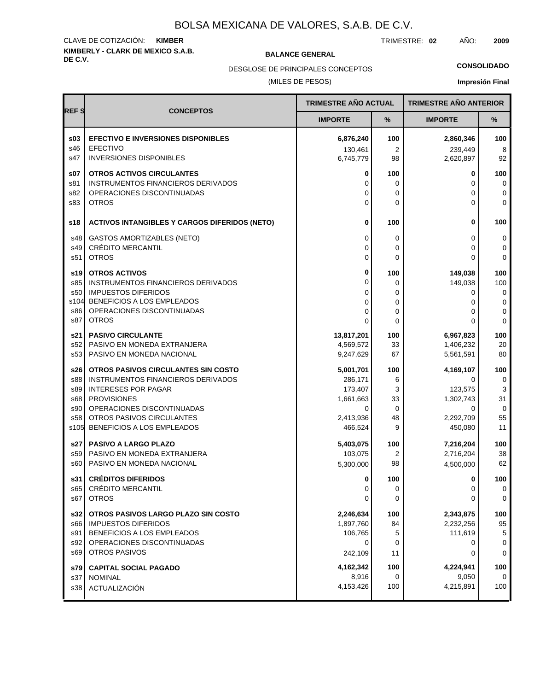## **KIMBERLY - CLARK DE MEXICO S.A.B.** CLAVE DE COTIZACIÓN: **KIMBER**

**BALANCE GENERAL** 

TRIMESTRE: **02** AÑO: **2009**

DESGLOSE DE PRINCIPALES CONCEPTOS

# **CONSOLIDADO**

(MILES DE PESOS)

|  | <b>Impresión Final</b> |
|--|------------------------|
|  |                        |

|             |                                                                         | TRIMESTRE AÑO ACTUAL |             | <b>TRIMESTRE AÑO ANTERIOR</b> |                  |
|-------------|-------------------------------------------------------------------------|----------------------|-------------|-------------------------------|------------------|
| <b>REFS</b> | <b>CONCEPTOS</b>                                                        | <b>IMPORTE</b>       | %           | <b>IMPORTE</b>                | %                |
| \$03        | <b>EFECTIVO E INVERSIONES DISPONIBLES</b>                               | 6,876,240            | 100         | 2,860,346                     | 100              |
| s46         | <b>EFECTIVO</b>                                                         | 130,461              | 2           | 239,449                       | 8                |
| s47         | <b>INVERSIONES DISPONIBLES</b>                                          | 6,745,779            | 98          | 2,620,897                     | 92               |
| \$07        | <b>OTROS ACTIVOS CIRCULANTES</b>                                        | 0                    | 100         | 0                             | 100              |
| s81<br>s82  | <b>INSTRUMENTOS FINANCIEROS DERIVADOS</b><br>OPERACIONES DISCONTINUADAS | 0<br>0               | 0<br>0      | $\Omega$<br>0                 | 0<br>$\mathbf 0$ |
| s83         | <b>OTROS</b>                                                            | 0                    | 0           | 0                             | $\mathbf 0$      |
| s18         | <b>ACTIVOS INTANGIBLES Y CARGOS DIFERIDOS (NETO)</b>                    | 0                    | 100         | $\bf{0}$                      | 100              |
|             |                                                                         |                      |             |                               |                  |
| s48<br>s49  | <b>GASTOS AMORTIZABLES (NETO)</b><br><b>CRÉDITO MERCANTIL</b>           | 0<br>$\Omega$        | 0<br>0      | $\Omega$<br>$\Omega$          | 0<br>0           |
| s51         | <b>OTROS</b>                                                            | 0                    | 0           | $\Omega$                      | $\mathbf 0$      |
|             |                                                                         | 0                    |             |                               |                  |
| s19<br>s85  | <b>OTROS ACTIVOS</b><br>INSTRUMENTOS FINANCIEROS DERIVADOS              | 0                    | 100<br>0    | 149,038<br>149,038            | 100<br>100       |
| s50         | <b>IMPUESTOS DIFERIDOS</b>                                              | 0                    | 0           | 0                             | 0                |
| s104        | BENEFICIOS A LOS EMPLEADOS                                              | 0                    | 0           | 0                             | $\mathsf 0$      |
| s86         | OPERACIONES DISCONTINUADAS                                              | 0                    | 0           | 0                             | 0                |
| s87         | <b>OTROS</b>                                                            | $\Omega$             | $\Omega$    | $\Omega$                      | 0                |
| s21         | <b>PASIVO CIRCULANTE</b>                                                | 13,817,201           | 100         | 6,967,823                     | 100              |
| s52         | PASIVO EN MONEDA EXTRANJERA                                             | 4,569,572            | 33          | 1,406,232                     | 20               |
| s53         | PASIVO EN MONEDA NACIONAL                                               | 9,247,629            | 67          | 5,561,591                     | 80               |
| s26         | OTROS PASIVOS CIRCULANTES SIN COSTO                                     | 5,001,701            | 100         | 4,169,107                     | 100              |
| s88         | INSTRUMENTOS FINANCIEROS DERIVADOS                                      | 286,171              | 6           | $\Omega$                      | 0                |
| s89<br>s68  | <b>INTERESES POR PAGAR</b><br><b>PROVISIONES</b>                        | 173,407<br>1,661,663 | 3<br>33     | 123,575<br>1,302,743          | 3<br>31          |
| s90         | OPERACIONES DISCONTINUADAS                                              | 0                    | $\mathbf 0$ | $\Omega$                      | 0                |
| s58         | OTROS PASIVOS CIRCULANTES                                               | 2,413,936            | 48          | 2,292,709                     | 55               |
| s105        | BENEFICIOS A LOS EMPLEADOS                                              | 466,524              | 9           | 450,080                       | 11               |
| s27         | <b>PASIVO A LARGO PLAZO</b>                                             | 5,403,075            | 100         | 7,216,204                     | 100              |
| s59         | PASIVO EN MONEDA EXTRANJERA                                             | 103,075              | 2           | 2,716,204                     | 38               |
| s60         | PASIVO EN MONEDA NACIONAL                                               | 5,300,000            | 98          | 4,500,000                     | 62               |
| s31 l       | <b>CRÉDITOS DIFERIDOS</b>                                               | 0                    | 100         | 0                             | 100              |
| s65         | CRÉDITO MERCANTIL                                                       | 0                    | 0           | 0                             | 0                |
| s67         | <b>OTROS</b>                                                            | 0                    | 0           | 0                             | 0                |
| s32 l       | OTROS PASIVOS LARGO PLAZO SIN COSTO                                     | 2,246,634            | 100         | 2,343,875                     | 100              |
| s66         | <b>IMPUESTOS DIFERIDOS</b>                                              | 1,897,760            | 84          | 2,232,256                     | 95               |
| s91         | BENEFICIOS A LOS EMPLEADOS                                              | 106,765              | 5           | 111,619                       | $\sqrt{5}$       |
| s92<br>s69  | OPERACIONES DISCONTINUADAS<br><b>OTROS PASIVOS</b>                      | 0                    | 0           | 0                             | $\mathbf 0$      |
|             |                                                                         | 242,109              | 11          | 0                             | $\mathbf 0$      |
| s79         | <b>CAPITAL SOCIAL PAGADO</b>                                            | 4,162,342            | 100         | 4,224,941                     | 100              |
| s37<br>s38  | <b>NOMINAL</b>                                                          | 8,916<br>4,153,426   | 0<br>100    | 9,050<br>4,215,891            | 0<br>100         |
|             | ACTUALIZACIÓN                                                           |                      |             |                               |                  |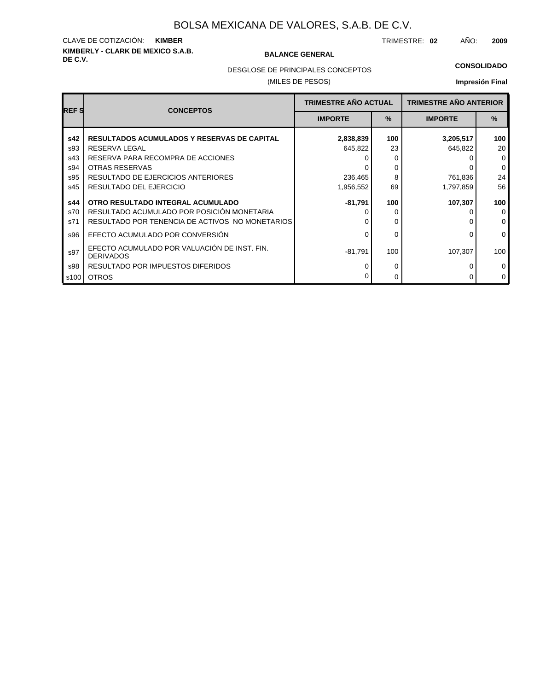## **KIMBERLY - CLARK DE MEXICO S.A.B.** CLAVE DE COTIZACIÓN: **KIMBER**

#### **BALANCE GENERAL**

TRIMESTRE: **02** AÑO: **2009**

#### **CONSOLIDADO**

DESGLOSE DE PRINCIPALES CONCEPTOS

#### (MILES DE PESOS)

| <b>REFS</b> | <b>CONCEPTOS</b>                                                 | <b>TRIMESTRE AÑO ACTUAL</b> |      | <b>TRIMESTRE AÑO ANTERIOR</b> |              |  |
|-------------|------------------------------------------------------------------|-----------------------------|------|-------------------------------|--------------|--|
|             |                                                                  | <b>IMPORTE</b>              | $\%$ | <b>IMPORTE</b>                | $\%$         |  |
| s42         | <b>RESULTADOS ACUMULADOS Y RESERVAS DE CAPITAL</b>               | 2,838,839                   | 100  | 3,205,517                     | 100          |  |
| s93         | <b>RESERVA LEGAL</b>                                             | 645,822                     | 23   | 645,822                       | 20           |  |
| s43         | RESERVA PARA RECOMPRA DE ACCIONES                                |                             | O    |                               | $\mathbf 0$  |  |
| s94         | <b>OTRAS RESERVAS</b>                                            |                             | 0    |                               | $\mathbf 0$  |  |
| s95         | RESULTADO DE EJERCICIOS ANTERIORES                               | 236,465                     | 8    | 761,836                       | 24           |  |
| s45         | RESULTADO DEL EJERCICIO                                          | 1,956,552                   | 69   | 1,797,859                     | 56           |  |
| s44         | OTRO RESULTADO INTEGRAL ACUMULADO                                | -81,791                     | 100  | 107,307                       | 100          |  |
| s70         | RESULTADO ACUMULADO POR POSICIÓN MONETARIA                       |                             | O    |                               | $\mathbf 0$  |  |
| s71         | RESULTADO POR TENENCIA DE ACTIVOS NO MONETARIOS                  |                             | 0    |                               | $\mathbf{0}$ |  |
| s96         | EFECTO ACUMULADO POR CONVERSIÓN                                  |                             | 0    | 0                             | $\mathbf 0$  |  |
| s97         | EFECTO ACUMULADO POR VALUACIÓN DE INST. FIN.<br><b>DERIVADOS</b> | $-81,791$                   | 100  | 107,307                       | 100          |  |
| s98         | RESULTADO POR IMPUESTOS DIFERIDOS                                |                             | 0    |                               | $\mathbf 0$  |  |
| s100        | <b>OTROS</b>                                                     |                             | 0    | 0                             | $\mathbf 0$  |  |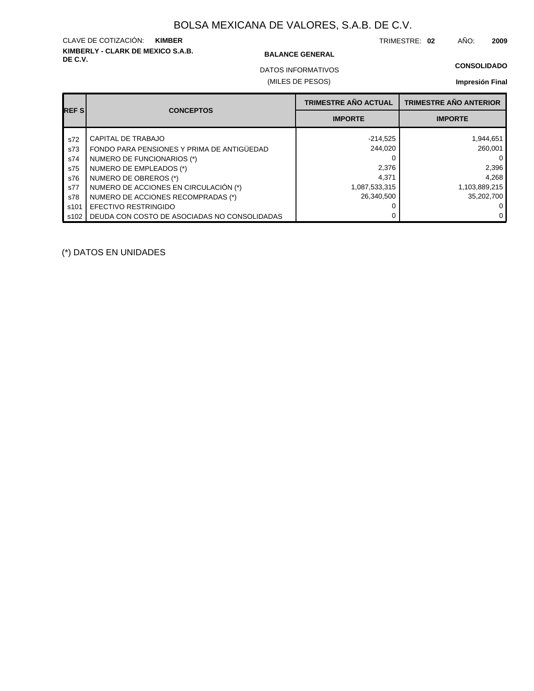# **KIMBERLY - CLARK DE MEXICO S.A.B.** CLAVE DE COTIZACIÓN: **KIMBER**

#### **BALANCE GENERAL**

TRIMESTRE: **02** AÑO: **2009**

(MILES DE PESOS) DATOS INFORMATIVOS

|                  |                                              | <b>TRIMESTRE AÑO ACTUAL</b> | <b>TRIMESTRE AÑO ANTERIOR</b> |
|------------------|----------------------------------------------|-----------------------------|-------------------------------|
| <b>REFS</b>      | <b>CONCEPTOS</b>                             | <b>IMPORTE</b>              | <b>IMPORTE</b>                |
| s72              | CAPITAL DE TRABAJO                           | $-214,525$                  | 1,944,651                     |
| s73              | FONDO PARA PENSIONES Y PRIMA DE ANTIGÜEDAD   | 244,020                     | 260.001                       |
| s74              | NUMERO DE FUNCIONARIOS (*)                   |                             |                               |
| s75              | NUMERO DE EMPLEADOS (*)                      | 2,376                       | 2,396                         |
| s76              | NUMERO DE OBREROS (*)                        | 4,371                       | 4,268                         |
| s77              | NUMERO DE ACCIONES EN CIRCULACIÓN (*)        | 1,087,533,315               | 1,103,889,215                 |
| s78              | NUMERO DE ACCIONES RECOMPRADAS (*)           | 26.340.500                  | 35.202.700                    |
| s <sub>101</sub> | <b>EFECTIVO RESTRINGIDO</b>                  |                             |                               |
| s102             | DEUDA CON COSTO DE ASOCIADAS NO CONSOLIDADAS |                             |                               |

(\*) DATOS EN UNIDADES

## **CONSOLIDADO Impresión Final**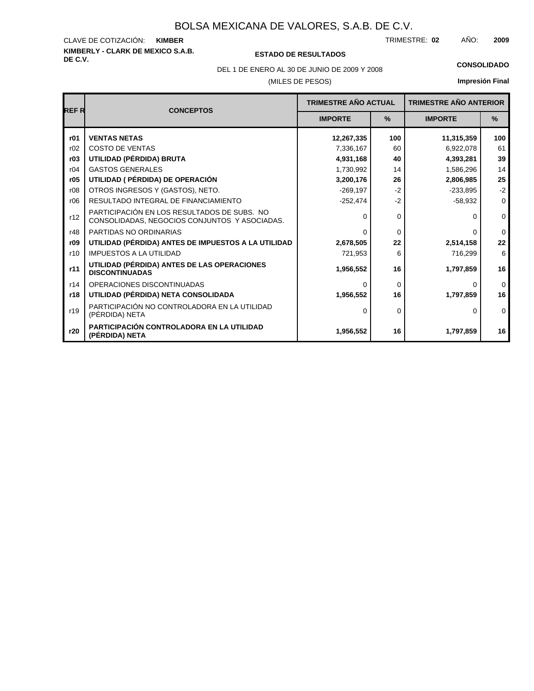#### **KIMBERLY - CLARK DE MEXICO S.A.B.** CLAVE DE COTIZACIÓN: TRIMESTRE: AÑO: **KIMBER 02 2009**

#### **DE C.V. ESTADO DE RESULTADOS**

DEL 1 DE ENERO AL 30 DE JUNIO DE 2009 Y 2008 **CONSOLIDADO**

#### (MILES DE PESOS)

| <b>REF R</b> | <b>CONCEPTOS</b>                                                                             | <b>TRIMESTRE AÑO ACTUAL</b> |               | <b>TRIMESTRE AÑO ANTERIOR</b> |               |
|--------------|----------------------------------------------------------------------------------------------|-----------------------------|---------------|-------------------------------|---------------|
|              |                                                                                              | <b>IMPORTE</b>              | $\frac{9}{6}$ | <b>IMPORTE</b>                | $\frac{9}{6}$ |
| r01          | <b>VENTAS NETAS</b>                                                                          | 12,267,335                  | 100           | 11,315,359                    | 100           |
| r02          | <b>COSTO DE VENTAS</b>                                                                       | 7,336,167                   | 60            | 6,922,078                     | 61            |
| r03          | UTILIDAD (PÉRDIDA) BRUTA                                                                     | 4,931,168                   | 40            | 4,393,281                     | 39            |
| r04          | <b>GASTOS GENERALES</b>                                                                      | 1,730,992                   | 14            | 1,586,296                     | 14            |
| r05          | UTILIDAD ( PÉRDIDA) DE OPERACIÓN                                                             | 3,200,176                   | 26            | 2,806,985                     | 25            |
| r08          | OTROS INGRESOS Y (GASTOS), NETO.                                                             | $-269,197$                  | $-2$          | $-233,895$                    | $-2$          |
| r06          | RESULTADO INTEGRAL DE FINANCIAMIENTO                                                         | $-252,474$                  | $-2$          | $-58,932$                     | $\mathbf 0$   |
| r12          | PARTICIPACIÓN EN LOS RESULTADOS DE SUBS. NO<br>CONSOLIDADAS, NEGOCIOS CONJUNTOS Y ASOCIADAS. | $\Omega$                    | 0             | 0                             | $\mathbf 0$   |
| r48          | PARTIDAS NO ORDINARIAS                                                                       | $\Omega$                    | $\Omega$      | U                             | $\Omega$      |
| r09          | UTILIDAD (PÉRDIDA) ANTES DE IMPUESTOS A LA UTILIDAD                                          | 2,678,505                   | 22            | 2,514,158                     | 22            |
| r10          | <b>IMPUESTOS A LA UTILIDAD</b>                                                               | 721,953                     | 6             | 716,299                       | 6             |
| r11          | UTILIDAD (PÉRDIDA) ANTES DE LAS OPERACIONES<br><b>DISCONTINUADAS</b>                         | 1,956,552                   | 16            | 1,797,859                     | 16            |
| r14          | OPERACIONES DISCONTINUADAS                                                                   | $\Omega$                    | $\Omega$      | 0                             | $\Omega$      |
| r18          | UTILIDAD (PÉRDIDA) NETA CONSOLIDADA                                                          | 1,956,552                   | 16            | 1,797,859                     | 16            |
| r19          | PARTICIPACIÓN NO CONTROLADORA EN LA UTILIDAD<br>(PÉRDIDA) NETA                               | $\Omega$                    | $\Omega$      | 0                             | $\Omega$      |
| r20          | PARTICIPACIÓN CONTROLADORA EN LA UTILIDAD<br>(PÉRDIDA) NETA                                  | 1,956,552                   | 16            | 1,797,859                     | 16            |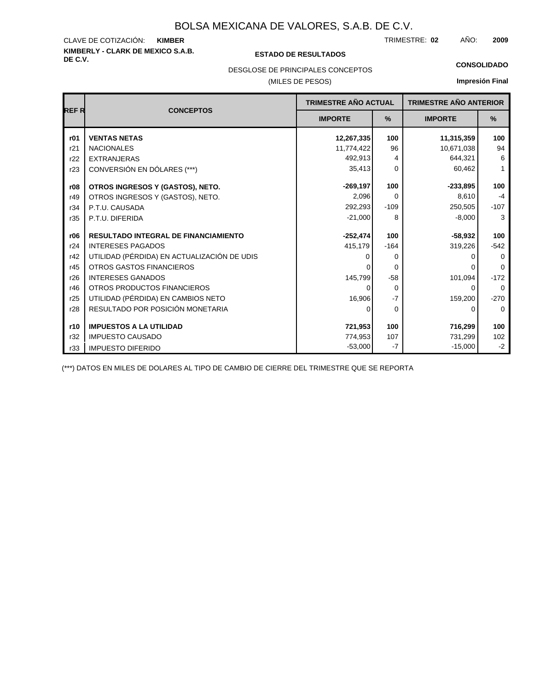# **KIMBERLY - CLARK DE MEXICO S.A.B.** CLAVE DE COTIZACIÓN:

#### **DE C.V. ESTADO DE RESULTADOS**

TRIMESTRE: AÑO: **KIMBER 02 2009**

**CONSOLIDADO**

#### DESGLOSE DE PRINCIPALES CONCEPTOS

#### (MILES DE PESOS)

**Impresión Final**

|             |                                             | TRIMESTRE AÑO ACTUAL |             | <b>TRIMESTRE AÑO ANTERIOR</b> |              |
|-------------|---------------------------------------------|----------------------|-------------|-------------------------------|--------------|
| <b>REFR</b> | <b>CONCEPTOS</b>                            |                      |             |                               |              |
|             |                                             | <b>IMPORTE</b>       | %           | <b>IMPORTE</b>                | $\%$         |
| r01         | <b>VENTAS NETAS</b>                         | 12,267,335           | 100         | 11,315,359                    | 100          |
| r21         | <b>NACIONALES</b>                           | 11,774,422           | 96          | 10,671,038                    | 94           |
| r22         | <b>EXTRANJERAS</b>                          | 492,913              | 4           | 644,321                       | 6            |
| r23         | CONVERSIÓN EN DÓLARES (***)                 | 35,413               | $\Omega$    | 60,462                        | $\mathbf{1}$ |
| r08         | OTROS INGRESOS Y (GASTOS), NETO.            | $-269, 197$          | 100         | $-233,895$                    | 100          |
| r49         | OTROS INGRESOS Y (GASTOS), NETO.            | 2,096                | $\Omega$    | 8.610                         | $-4$         |
| r34         | P.T.U. CAUSADA                              | 292,293              | $-109$      | 250,505                       | $-107$       |
| r35         | P.T.U. DIFERIDA                             | $-21,000$            | 8           | $-8,000$                      | 3            |
| r06         | <b>RESULTADO INTEGRAL DE FINANCIAMIENTO</b> | $-252,474$           | 100         | $-58,932$                     | 100          |
| r24         | <b>INTERESES PAGADOS</b>                    |                      |             | 319,226                       | $-542$       |
| r42         | UTILIDAD (PÉRDIDA) EN ACTUALIZACIÓN DE UDIS | 415,179<br>0         | $-164$<br>0 |                               | $\Omega$     |
| r45         | <b>OTROS GASTOS FINANCIEROS</b>             | ∩                    | $\Omega$    |                               | $\Omega$     |
| r26         | <b>INTERESES GANADOS</b>                    | 145,799              | $-58$       | 101,094                       | $-172$       |
| r46         | OTROS PRODUCTOS FINANCIEROS                 | $\Omega$             | 0           | 0                             | $\mathbf 0$  |
| r25         | UTILIDAD (PÉRDIDA) EN CAMBIOS NETO          | 16,906               | $-7$        | 159,200                       | $-270$       |
| r28         | RESULTADO POR POSICIÓN MONETARIA            | $\Omega$             | 0           | 0                             | $\Omega$     |
|             |                                             |                      |             |                               |              |
| r10         | <b>IMPUESTOS A LA UTILIDAD</b>              | 721,953              | 100         | 716,299                       | 100          |
| r32         | <b>IMPUESTO CAUSADO</b>                     | 774,953              | 107         | 731,299                       | 102          |
| r33         | <b>IMPUESTO DIFERIDO</b>                    | $-53,000$            | $-7$        | $-15,000$                     | $-2$         |

(\*\*\*) DATOS EN MILES DE DOLARES AL TIPO DE CAMBIO DE CIERRE DEL TRIMESTRE QUE SE REPORTA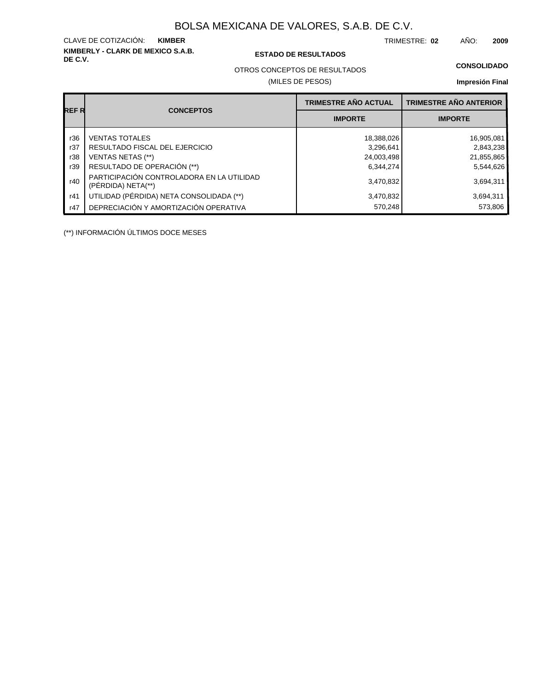**KIMBERLY - CLARK DE MEXICO S.A.B.** CLAVE DE COTIZACIÓN:

**DE C.V. ESTADO DE RESULTADOS**

TRIMESTRE: AÑO: **KIMBER 02 2009**

OTROS CONCEPTOS DE RESULTADOS

(MILES DE PESOS)

#### **CONSOLIDADO**

**Impresión Final**

|       |                                                                 | <b>TRIMESTRE AÑO ACTUAL</b> | <b>TRIMESTRE AÑO ANTERIOR</b> |
|-------|-----------------------------------------------------------------|-----------------------------|-------------------------------|
| REF R | <b>CONCEPTOS</b>                                                | <b>IMPORTE</b>              | <b>IMPORTE</b>                |
| r36   | <b>VENTAS TOTALES</b>                                           | 18,388,026                  | 16,905,081                    |
| r37   | RESULTADO FISCAL DEL EJERCICIO                                  | 3,296,641                   | 2,843,238                     |
| r38   | <b>VENTAS NETAS (**)</b>                                        | 24,003,498                  | 21,855,865                    |
| r39   | RESULTADO DE OPERACIÓN (**)                                     | 6,344,274                   | 5,544,626                     |
| r40   | PARTICIPACIÓN CONTROLADORA EN LA UTILIDAD<br>(PERDIDA) NETA(**) | 3,470,832                   | 3,694,311                     |
| r41   | UTILIDAD (PÉRDIDA) NETA CONSOLIDADA (**)                        | 3,470,832                   | 3,694,311                     |
| r47   | DEPRECIACIÓN Y AMORTIZACIÓN OPERATIVA                           | 570,248                     | 573,806                       |

(\*\*) INFORMACIÓN ÚLTIMOS DOCE MESES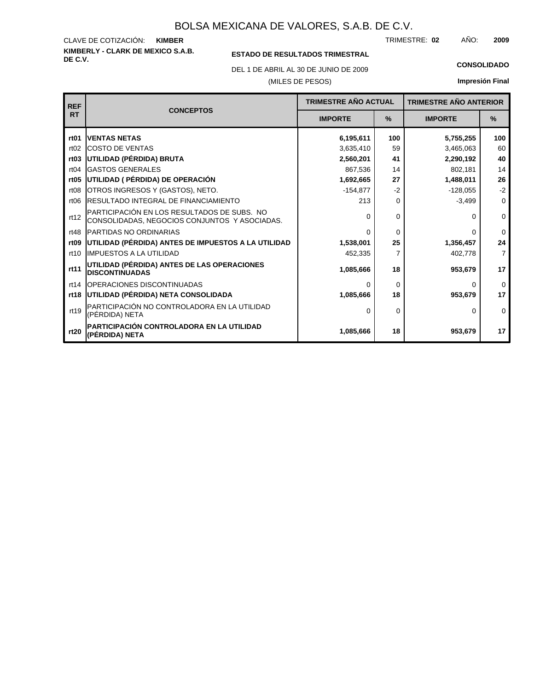**KIMBERLY - CLARK DE MEXICO S.A.B.** CLAVE DE COTIZACIÓN: TRIMESTRE: AÑO: **KIMBER 02 2009**

### **ESTADO DE RESULTADOS TRIMESTRAL**

DEL 1 DE ABRIL AL 30 DE JUNIO DE 2009 **CONSOLIDADO**

#### (MILES DE PESOS)

| <b>REF</b>       |                                                                                              | <b>TRIMESTRE AÑO ACTUAL</b> |          | <b>TRIMESTRE AÑO ANTERIOR</b> |                |
|------------------|----------------------------------------------------------------------------------------------|-----------------------------|----------|-------------------------------|----------------|
| <b>RT</b>        | <b>CONCEPTOS</b>                                                                             | <b>IMPORTE</b>              | $\%$     | <b>IMPORTE</b>                | $\frac{9}{6}$  |
| rt <sub>01</sub> | <b>IVENTAS NETAS</b>                                                                         | 6,195,611                   | 100      | 5,755,255                     | 100            |
| rt02             | <b>ICOSTO DE VENTAS</b>                                                                      | 3,635,410                   | 59       | 3,465,063                     | 60             |
| rt03             | UTILIDAD (PÉRDIDA) BRUTA                                                                     | 2,560,201                   | 41       | 2,290,192                     | 40             |
| rt04             | <b>IGASTOS GENERALES</b>                                                                     | 867,536                     | 14       | 802,181                       | 14             |
| rt <sub>05</sub> | UTILIDAD ( PÉRDIDA) DE OPERACIÓN                                                             | 1,692,665                   | 27       | 1,488,011                     | 26             |
| rt08             | OTROS INGRESOS Y (GASTOS), NETO.                                                             | $-154,877$                  | $-2$     | $-128,055$                    | $-2$           |
| rt <sub>06</sub> | <b>IRESULTADO INTEGRAL DE FINANCIAMIENTO</b>                                                 | 213                         | $\Omega$ | $-3,499$                      | $\mathbf 0$    |
| rt12             | PARTICIPACIÓN EN LOS RESULTADOS DE SUBS. NO<br>CONSOLIDADAS, NEGOCIOS CONJUNTOS Y ASOCIADAS. | $\Omega$                    | 0        | <sup>o</sup>                  | $\mathbf 0$    |
| rt48             | <b>PARTIDAS NO ORDINARIAS</b>                                                                | $\Omega$                    | $\Omega$ | O                             | $\Omega$       |
| rt <sub>09</sub> | UTILIDAD (PÉRDIDA) ANTES DE IMPUESTOS A LA UTILIDAD                                          | 1,538,001                   | 25       | 1,356,457                     | 24             |
| rt10             | IMPUESTOS A LA UTILIDAD                                                                      | 452,335                     | 7        | 402,778                       | $\overline{7}$ |
| rt11             | UTILIDAD (PÉRDIDA) ANTES DE LAS OPERACIONES<br><b>DISCONTINUADAS</b>                         | 1,085,666                   | 18       | 953,679                       | 17             |
| rt14             | <b>IOPERACIONES DISCONTINUADAS</b>                                                           | $\Omega$                    | 0        | 0                             | $\Omega$       |
| rt18             | UTILIDAD (PÉRDIDA) NETA CONSOLIDADA                                                          | 1,085,666                   | 18       | 953,679                       | 17             |
| rt19             | PARTICIPACIÓN NO CONTROLADORA EN LA UTILIDAD<br>(PÉRDIDA) NETA                               | $\Omega$                    | $\Omega$ | 0                             | $\Omega$       |
| rt20             | PARTICIPACIÓN CONTROLADORA EN LA UTILIDAD<br>(PÉRDIDA) NETA                                  | 1,085,666                   | 18       | 953,679                       | 17             |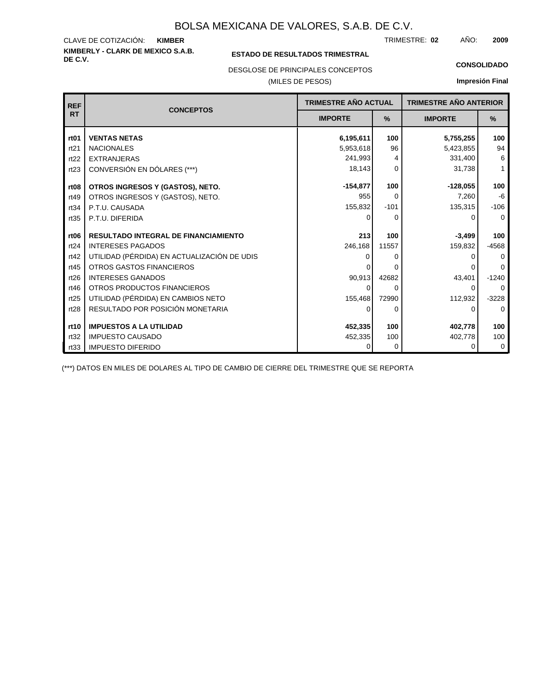#### **KIMBERLY - CLARK DE MEXICO S.A.B.** CLAVE DE COTIZACIÓN: TRIMESTRE: AÑO: **KIMBER 02 2009**

#### **ESTADO DE RESULTADOS TRIMESTRAL**

DESGLOSE DE PRINCIPALES CONCEPTOS

#### (MILES DE PESOS)

#### **CONSOLIDADO**

**Impresión Final**

| <b>REF</b>       | <b>CONCEPTOS</b>                            | TRIMESTRE AÑO ACTUAL<br><b>IMPORTE</b><br>$\%$ |          | <b>TRIMESTRE AÑO ANTERIOR</b> |              |  |
|------------------|---------------------------------------------|------------------------------------------------|----------|-------------------------------|--------------|--|
| <b>RT</b>        |                                             |                                                |          | <b>IMPORTE</b>                | $\%$         |  |
| rt <sub>01</sub> | <b>VENTAS NETAS</b>                         | 6,195,611                                      | 100      | 5,755,255                     | 100          |  |
| rt21             | <b>NACIONALES</b>                           | 5,953,618                                      | 96       | 5,423,855                     | 94           |  |
| rt22             | <b>EXTRANJERAS</b>                          | 241,993                                        | 4        | 331,400                       | 6            |  |
| rt23             | CONVERSIÓN EN DÓLARES (***)                 | 18,143                                         | $\Omega$ | 31,738                        | $\mathbf{1}$ |  |
| rt <sub>08</sub> | OTROS INGRESOS Y (GASTOS), NETO.            | $-154,877$                                     | 100      | $-128,055$                    | 100          |  |
| rt49             | OTROS INGRESOS Y (GASTOS), NETO.            | 955                                            | $\Omega$ | 7,260                         | $-6$         |  |
| rt34             | P.T.U. CAUSADA                              | 155,832                                        | $-101$   | 135,315                       | $-106$       |  |
| rt35             | P.T.U. DIFERIDA                             | 0                                              | 0        | O                             | $\Omega$     |  |
|                  |                                             |                                                |          |                               |              |  |
| rt <sub>06</sub> | <b>RESULTADO INTEGRAL DE FINANCIAMIENTO</b> | 213                                            | 100      | $-3.499$                      | 100          |  |
| rt24             | <b>INTERESES PAGADOS</b>                    | 246,168                                        | 11557    | 159,832                       | $-4568$      |  |
| rt42             | UTILIDAD (PÉRDIDA) EN ACTUALIZACIÓN DE UDIS |                                                | 0        |                               | $\Omega$     |  |
| rt45             | <b>OTROS GASTOS FINANCIEROS</b>             |                                                | 0        |                               | $\Omega$     |  |
| rt26             | <b>INTERESES GANADOS</b>                    | 90,913                                         | 42682    | 43,401                        | $-1240$      |  |
| rt46             | OTROS PRODUCTOS FINANCIEROS                 | 0                                              | 0        | $\Omega$                      | $\Omega$     |  |
| rt25             | UTILIDAD (PÉRDIDA) EN CAMBIOS NETO          | 155,468                                        | 72990    | 112,932                       | $-3228$      |  |
| rt28             | RESULTADO POR POSICIÓN MONETARIA            | 0                                              | 0        | 0                             | $\mathbf 0$  |  |
| rt10             | <b>IMPUESTOS A LA UTILIDAD</b>              | 452,335                                        | 100      | 402,778                       | 100          |  |
| rt32             | <b>IMPUESTO CAUSADO</b>                     | 452,335                                        | 100      | 402,778                       | 100          |  |
| rt33             | <b>IMPUESTO DIFERIDO</b>                    | 0                                              | 0        | ∩                             | 0            |  |

(\*\*\*) DATOS EN MILES DE DOLARES AL TIPO DE CAMBIO DE CIERRE DEL TRIMESTRE QUE SE REPORTA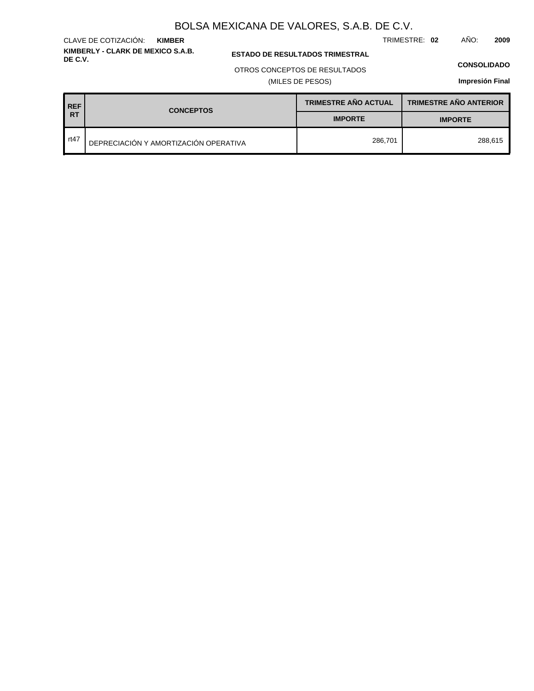TRIMESTRE: **02** AÑO: **2009**

### **ESTADO DE RESULTADOS TRIMESTRAL**

OTROS CONCEPTOS DE RESULTADOS

(MILES DE PESOS)

#### **CONSOLIDADO**

**Impresión Final**

| <b>REF</b> | <b>CONCEPTOS</b>                      | <b>TRIMESTRE AÑO ACTUAL</b> | <b>TRIMESTRE AÑO ANTERIOR</b> |
|------------|---------------------------------------|-----------------------------|-------------------------------|
| IRT        |                                       | <b>IMPORTE</b>              | <b>IMPORTE</b>                |
| rt47       | DEPRECIACIÓN Y AMORTIZACIÓN OPERATIVA | 286.701                     | 288.615                       |

#### **KIMBERLY - CLARK DE MEXICO S.A.B.** CLAVE DE COTIZACIÓN: **KIMBER**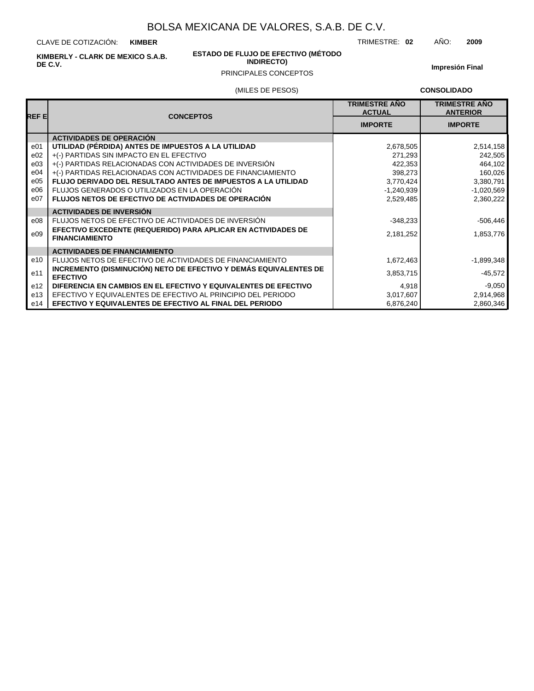CLAVE DE COTIZACIÓN: **KIMBER**

**KIMBERLY - CLARK DE MEXICO S.A.B. DE C.V.**

#### **ESTADO DE FLUJO DE EFECTIVO (MÉTODO INDIRECTO)**

**Impresión Final**

## (MILES DE PESOS) PRINCIPALES CONCEPTOS

**CONSOLIDADO**

| REF E           | <b>CONCEPTOS</b>                                                                       | <b>TRIMESTRE AÑO</b><br><b>ACTUAL</b> | <b>TRIMESTRE AÑO</b><br><b>ANTERIOR</b> |
|-----------------|----------------------------------------------------------------------------------------|---------------------------------------|-----------------------------------------|
|                 |                                                                                        | <b>IMPORTE</b>                        | <b>IMPORTE</b>                          |
|                 | <b>ACTIVIDADES DE OPERACIÓN</b>                                                        |                                       |                                         |
| e01             | UTILIDAD (PÉRDIDA) ANTES DE IMPUESTOS A LA UTILIDAD                                    | 2,678,505                             | 2,514,158                               |
| e02             | +(-) PARTIDAS SIN IMPACTO EN EL EFECTIVO                                               | 271,293                               | 242,505                                 |
| e03             | +(-) PARTIDAS RELACIONADAS CON ACTIVIDADES DE INVERSIÓN                                | 422,353                               | 464,102                                 |
| e04             | +(-) PARTIDAS RELACIONADAS CON ACTIVIDADES DE FINANCIAMIENTO                           | 398,273                               | 160,026                                 |
| e05             | FLUJO DERIVADO DEL RESULTADO ANTES DE IMPUESTOS A LA UTILIDAD                          | 3,770,424                             | 3,380,791                               |
| e06             | FLUJOS GENERADOS O UTILIZADOS EN LA OPERACIÓN                                          | $-1,240,939$                          | $-1,020,569$                            |
| e07             | <b>FLUJOS NETOS DE EFECTIVO DE ACTIVIDADES DE OPERACIÓN</b>                            | 2,529,485                             | 2,360,222                               |
|                 | <b>ACTIVIDADES DE INVERSIÓN</b>                                                        |                                       |                                         |
| e08             | FLUJOS NETOS DE EFECTIVO DE ACTIVIDADES DE INVERSIÓN                                   | $-348,233$                            | $-506,446$                              |
| e09             | EFECTIVO EXCEDENTE (REQUERIDO) PARA APLICAR EN ACTIVIDADES DE<br><b>FINANCIAMIENTO</b> | 2,181,252                             | 1,853,776                               |
|                 | <b>ACTIVIDADES DE FINANCIAMIENTO</b>                                                   |                                       |                                         |
| e10             | FLUJOS NETOS DE EFECTIVO DE ACTIVIDADES DE FINANCIAMIENTO                              | 1,672,463                             | $-1,899,348$                            |
| e11             | INCREMENTO (DISMINUCIÓN) NETO DE EFECTIVO Y DEMÁS EQUIVALENTES DE<br><b>EFECTIVO</b>   | 3,853,715                             | $-45,572$                               |
| e <sub>12</sub> | DIFERENCIA EN CAMBIOS EN EL EFECTIVO Y EQUIVALENTES DE EFECTIVO                        | 4,918                                 | $-9,050$                                |
| e13             | EFECTIVO Y EQUIVALENTES DE EFECTIVO AL PRINCIPIO DEL PERIODO                           | 3,017,607                             | 2,914,968                               |
| e14             | <b>EFECTIVO Y EQUIVALENTES DE EFECTIVO AL FINAL DEL PERIODO</b>                        | 6,876,240                             | 2,860,346                               |

TRIMESTRE: **02** AÑO: **2009**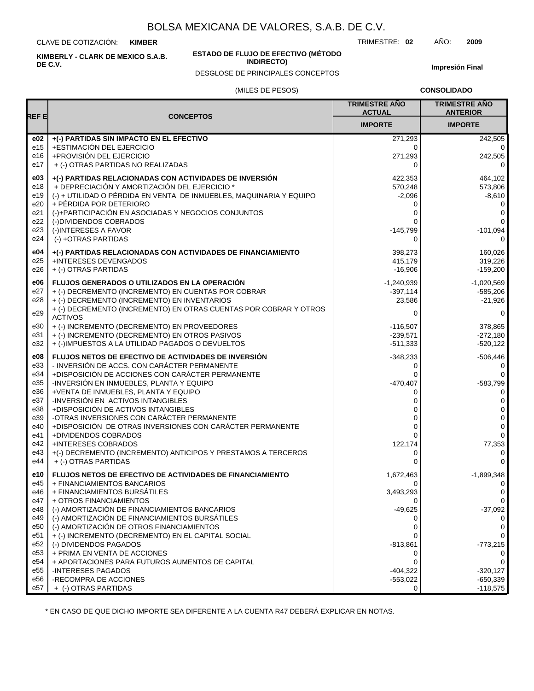CLAVE DE COTIZACIÓN: **KIMBER**

**KIMBERLY - CLARK DE MEXICO S.A.B. DE C.V.**

#### **ESTADO DE FLUJO DE EFECTIVO (MÉTODO INDIRECTO)**

DESGLOSE DE PRINCIPALES CONCEPTOS

TRIMESTRE: **02** AÑO: **2009**

**Impresión Final**

#### (MILES DE PESOS)

**CONSOLIDADO**

|                 |                                                                                                         | <b>TRIMESTRE AÑO</b><br><b>ACTUAL</b> | <b>TRIMESTRE AÑO</b><br><b>ANTERIOR</b> |
|-----------------|---------------------------------------------------------------------------------------------------------|---------------------------------------|-----------------------------------------|
| REF E           | <b>CONCEPTOS</b>                                                                                        | <b>IMPORTE</b>                        | <b>IMPORTE</b>                          |
| e02             | +(-) PARTIDAS SIN IMPACTO EN EL EFECTIVO                                                                | 271,293                               | 242,505                                 |
| e15             | +ESTIMACIÓN DEL EJERCICIO                                                                               | $\Omega$                              | 0                                       |
| e16             | +PROVISIÓN DEL EJERCICIO                                                                                | 271,293                               | 242,505                                 |
| e17             | + (-) OTRAS PARTIDAS NO REALIZADAS                                                                      | 0                                     | $\Omega$                                |
| e03             | +(-) PARTIDAS RELACIONADAS CON ACTIVIDADES DE INVERSIÓN                                                 | 422,353                               | 464,102                                 |
| e18             | + DEPRECIACIÓN Y AMORTIZACIÓN DEL EJERCICIO *                                                           | 570,248                               | 573,806                                 |
| e19             | (-) + UTILIDAD O PÉRDIDA EN VENTA DE INMUEBLES, MAQUINARIA Y EQUIPO                                     | $-2,096$                              | $-8,610$                                |
| e20             | + PÉRDIDA POR DETERIORO                                                                                 | 0                                     | 0                                       |
| e21             | (-)+PARTICIPACIÓN EN ASOCIADAS Y NEGOCIOS CONJUNTOS                                                     | 0                                     | 0                                       |
| e22             | (-)DIVIDENDOS COBRADOS                                                                                  | 0                                     | $\mathbf 0$                             |
| e23             | (-)INTERESES A FAVOR                                                                                    | $-145,799$                            | $-101,094$                              |
| e24             | (-) +OTRAS PARTIDAS                                                                                     | 0                                     | $\Omega$                                |
| e04             | +(-) PARTIDAS RELACIONADAS CON ACTIVIDADES DE FINANCIAMIENTO                                            | 398,273                               | 160,026                                 |
| e25             | +INTERESES DEVENGADOS                                                                                   | 415,179                               | 319,226                                 |
| e26             | + (-) OTRAS PARTIDAS                                                                                    | $-16,906$                             | $-159,200$                              |
| e06             | <b>FLUJOS GENERADOS O UTILIZADOS EN LA OPERACIÓN</b>                                                    | $-1,240,939$                          | $-1,020,569$                            |
| e27             | + (-) DECREMENTO (INCREMENTO) EN CUENTAS POR COBRAR                                                     | $-397,114$                            | $-585,206$                              |
| e28             | + (-) DECREMENTO (INCREMENTO) EN INVENTARIOS                                                            | 23,586                                | $-21,926$                               |
| e29             | + (-) DECREMENTO (INCREMENTO) EN OTRAS CUENTAS POR COBRAR Y OTROS<br><b>ACTIVOS</b>                     | 0                                     | 0                                       |
| e30             | + (-) INCREMENTO (DECREMENTO) EN PROVEEDORES                                                            | $-116,507$                            | 378.865                                 |
| e31             | + (-) INCREMENTO (DECREMENTO) EN OTROS PASIVOS                                                          | $-239,571$                            | -272,180                                |
| e32             | + (-)IMPUESTOS A LA UTILIDAD PAGADOS O DEVUELTOS                                                        | $-511,333$                            | $-520,122$                              |
| e08             | FLUJOS NETOS DE EFECTIVO DE ACTIVIDADES DE INVERSIÓN                                                    | $-348,233$                            | $-506,446$                              |
| e33             | - INVERSIÓN DE ACCS. CON CARÁCTER PERMANENTE                                                            | 0                                     | 0                                       |
| e34             | +DISPOSICIÓN DE ACCIONES CON CARÁCTER PERMANENTE                                                        | 0                                     | 0                                       |
| e35             | -INVERSIÓN EN INMUEBLES, PLANTA Y EQUIPO                                                                | $-470,407$                            | $-583,799$                              |
| e36             | +VENTA DE INMUEBLES, PLANTA Y EQUIPO                                                                    | 0                                     | $\mathbf 0$                             |
| e37             | -INVERSIÓN EN ACTIVOS INTANGIBLES                                                                       | 0                                     | 0                                       |
| e38             | +DISPOSICIÓN DE ACTIVOS INTANGIBLES                                                                     | 0                                     | 0                                       |
| e39<br>e40      | -OTRAS INVERSIONES CON CARÁCTER PERMANENTE<br>+DISPOSICIÓN DE OTRAS INVERSIONES CON CARÁCTER PERMANENTE | 0<br>0                                | $\mathbf 0$<br>0                        |
| e41             | +DIVIDENDOS COBRADOS                                                                                    | $\Omega$                              | 0                                       |
| e42             | +INTERESES COBRADOS                                                                                     | 122,174                               | 77,353                                  |
| e43             | +(-) DECREMENTO (INCREMENTO) ANTICIPOS Y PRESTAMOS A TERCEROS                                           | 0                                     | $\mathbf 0$                             |
| e44             | + (-) OTRAS PARTIDAS                                                                                    | 0                                     | $\mathbf 0$                             |
| e10             | FLUJOS NETOS DE EFECTIVO DE ACTIVIDADES DE FINANCIAMIENTO                                               | 1,672,463                             | $-1,899,348$                            |
| e45             | + FINANCIAMIENTOS BANCARIOS                                                                             | 0                                     | 0                                       |
| e46<br>e47      | + FINANCIAMIENTOS BURSATILES<br>+ OTROS FINANCIAMIENTOS                                                 | 3,493,293                             | $\mathbf{0}$<br>0                       |
| e48             | (-) AMORTIZACIÓN DE FINANCIAMIENTOS BANCARIOS                                                           | $-49,625$                             | $-37,092$                               |
| e49             | (-) AMORTIZACIÓN DE FINANCIAMIENTOS BURSÁTILES                                                          | 0                                     | $\Omega$                                |
| e50             | (-) AMORTIZACIÓN DE OTROS FINANCIAMIENTOS                                                               | 0                                     | 0                                       |
| e51             | + (-) INCREMENTO (DECREMENTO) EN EL CAPITAL SOCIAL                                                      |                                       | 0                                       |
| e52             | (-) DIVIDENDOS PAGADOS                                                                                  | $-813,861$                            | $-773,215$                              |
| e <sub>53</sub> | + PRIMA EN VENTA DE ACCIONES                                                                            | 0                                     | 0                                       |
| e54             | + APORTACIONES PARA FUTUROS AUMENTOS DE CAPITAL                                                         | 0                                     | 0                                       |
| e <sub>55</sub> | -INTERESES PAGADOS                                                                                      | $-404,322$                            | $-320,127$                              |
| e56             | -RECOMPRA DE ACCIONES                                                                                   | $-553,022$                            | $-650,339$                              |
| e57             | + (-) OTRAS PARTIDAS                                                                                    | 0                                     | $-118,575$                              |

\* EN CASO DE QUE DICHO IMPORTE SEA DIFERENTE A LA CUENTA R47 DEBERÁ EXPLICAR EN NOTAS.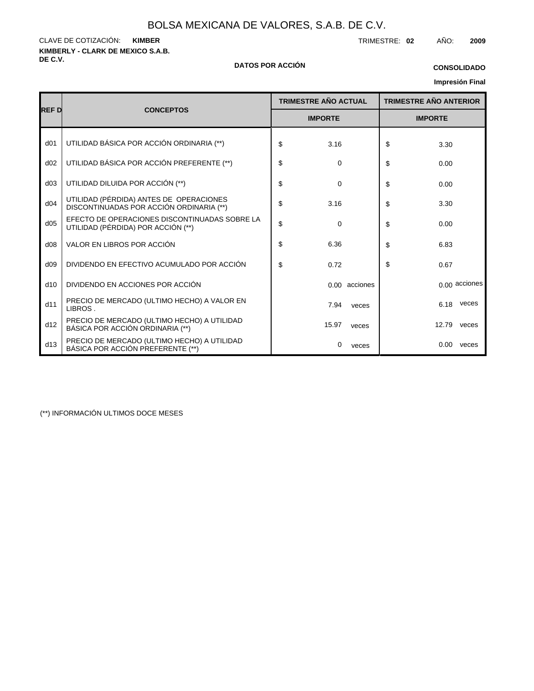**KIMBERLY - CLARK DE MEXICO S.A.B.** CLAVE DE COTIZACIÓN: TRIMESTRE: **02** AÑO: **2009 KIMBER**

#### **DE C.V. DATOS POR ACCIÓN**

## **CONSOLIDADO**

**Impresión Final**

|                 |                                                                                     | <b>TRIMESTRE AÑO ACTUAL</b> |               | <b>TRIMESTRE AÑO ANTERIOR</b> |       |                 |
|-----------------|-------------------------------------------------------------------------------------|-----------------------------|---------------|-------------------------------|-------|-----------------|
| REF D           | <b>CONCEPTOS</b>                                                                    | <b>IMPORTE</b>              |               | <b>IMPORTE</b>                |       |                 |
| d <sub>01</sub> | UTILIDAD BÁSICA POR ACCIÓN ORDINARIA (**)                                           | \$<br>3.16                  |               | \$                            | 3.30  |                 |
| d02             | UTILIDAD BÁSICA POR ACCIÓN PREFERENTE (**)                                          | \$<br>0                     |               | \$                            | 0.00  |                 |
| d03             | UTILIDAD DILUIDA POR ACCIÓN (**)                                                    | \$<br>$\mathbf 0$           |               | \$                            | 0.00  |                 |
| d04             | UTILIDAD (PÉRDIDA) ANTES DE OPERACIONES<br>DISCONTINUADAS POR ACCIÓN ORDINARIA (**) | \$<br>3.16                  |               | \$                            | 3.30  |                 |
| d05             | EFECTO DE OPERACIONES DISCONTINUADAS SOBRE LA<br>UTILIDAD (PÉRDIDA) POR ACCIÓN (**) | \$<br>$\mathbf 0$           |               | \$                            | 0.00  |                 |
| d08             | VALOR EN LIBROS POR ACCIÓN                                                          | \$<br>6.36                  |               | \$                            | 6.83  |                 |
| d09             | DIVIDENDO EN EFECTIVO ACUMULADO POR ACCIÓN                                          | \$<br>0.72                  |               | \$                            | 0.67  |                 |
| d10             | DIVIDENDO EN ACCIONES POR ACCIÓN                                                    |                             | 0.00 acciones |                               |       | $0.00$ acciones |
| d11             | PRECIO DE MERCADO (ULTIMO HECHO) A VALOR EN<br>LIBROS.                              | 7.94                        | veces         |                               | 6.18  | veces           |
| d12             | PRECIO DE MERCADO (ULTIMO HECHO) A UTILIDAD<br>BÁSICA POR ACCIÓN ORDINARIA (**)     | 15.97                       | veces         |                               | 12.79 | veces           |
| d13             | PRECIO DE MERCADO (ULTIMO HECHO) A UTILIDAD<br>BÁSICA POR ACCIÓN PREFERENTE (**)    | 0                           | veces         |                               | 0.00  | veces           |

(\*\*) INFORMACIÓN ULTIMOS DOCE MESES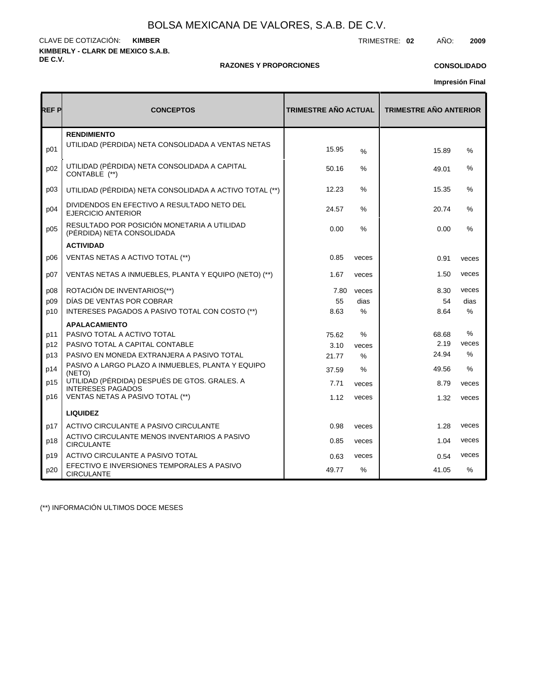**KIMBERLY - CLARK DE MEXICO S.A.B. DE C.V.** CLAVE DE COTIZACIÓN: TRIMESTRE: **02** AÑO: **2009 KIMBER**

#### **RAZONES Y PROPORCIONES**

### **CONSOLIDADO**

**Impresión Final**

| REF P | <b>CONCEPTOS</b>                                                          | <b>TRIMESTRE AÑO ACTUAL</b> |               | <b>TRIMESTRE AÑO ANTERIOR</b> |               |  |  |
|-------|---------------------------------------------------------------------------|-----------------------------|---------------|-------------------------------|---------------|--|--|
| p01   | <b>RENDIMIENTO</b><br>UTILIDAD (PERDIDA) NETA CONSOLIDADA A VENTAS NETAS  | 15.95                       | $\frac{9}{6}$ | 15.89                         | %             |  |  |
| p02   | UTILIDAD (PÉRDIDA) NETA CONSOLIDADA A CAPITAL<br>CONTABLE (**)            | 50.16                       | ℅             | 49.01                         | %             |  |  |
| p03   | UTILIDAD (PÉRDIDA) NETA CONSOLIDADA A ACTIVO TOTAL (**)                   | 12.23                       | $\%$          | 15.35                         | %             |  |  |
| p04   | DIVIDENDOS EN EFECTIVO A RESULTADO NETO DEL<br><b>EJERCICIO ANTERIOR</b>  | 24.57                       | $\%$          | 20.74                         | %             |  |  |
| p05   | RESULTADO POR POSICIÓN MONETARIA A UTILIDAD<br>(PÉRDIDA) NETA CONSOLIDADA | 0.00                        | $\%$          | 0.00                          | %             |  |  |
|       | <b>ACTIVIDAD</b>                                                          |                             |               |                               |               |  |  |
| D06   | VENTAS NETAS A ACTIVO TOTAL (**)                                          | 0.85                        | veces         | 0.91                          | veces         |  |  |
| p07   | VENTAS NETAS A INMUEBLES, PLANTA Y EQUIPO (NETO) (**)                     | 1.67                        | veces         | 1.50                          | veces         |  |  |
| p08   | ROTACIÓN DE INVENTARIOS(**)                                               | 7.80                        | veces         | 8.30                          | veces         |  |  |
| p09   | DÍAS DE VENTAS POR COBRAR                                                 | 55                          | dias          | 54                            | dias          |  |  |
| p10   | INTERESES PAGADOS A PASIVO TOTAL CON COSTO (**)                           | 8.63                        | $\%$          | 8.64                          | $\%$          |  |  |
|       | <b>APALACAMIENTO</b>                                                      |                             |               |                               |               |  |  |
| p11   | PASIVO TOTAL A ACTIVO TOTAL                                               | 75.62                       | %             | 68.68                         | %             |  |  |
| p12   | PASIVO TOTAL A CAPITAL CONTABLE                                           | 3.10                        | veces         | 2.19                          | veces         |  |  |
| p13   | PASIVO EN MONEDA EXTRANJERA A PASIVO TOTAL                                | 21.77                       | $\%$          | 24.94                         | $\frac{0}{0}$ |  |  |
| p14   | PASIVO A LARGO PLAZO A INMUEBLES, PLANTA Y EQUIPO<br>(NETO)               | 37.59                       | %             | 49.56                         | %             |  |  |
| p15   | UTILIDAD (PÉRDIDA) DESPUÉS DE GTOS. GRALES. A<br><b>INTERESES PAGADOS</b> | 7.71                        | veces         | 8.79                          | veces         |  |  |
| p16   | VENTAS NETAS A PASIVO TOTAL (**)                                          | 1.12                        | veces         | 1.32                          | veces         |  |  |
|       | <b>LIQUIDEZ</b>                                                           |                             |               |                               |               |  |  |
| p17   | ACTIVO CIRCULANTE A PASIVO CIRCULANTE                                     | 0.98                        | veces         | 1.28                          | veces         |  |  |
| p18   | ACTIVO CIRCULANTE MENOS INVENTARIOS A PASIVO<br><b>CIRCULANTE</b>         | 0.85                        | veces         | 1.04                          | veces         |  |  |
| p19   | ACTIVO CIRCULANTE A PASIVO TOTAL                                          | 0.63                        | veces         | 0.54                          | veces         |  |  |
| p20   | EFECTIVO E INVERSIONES TEMPORALES A PASIVO<br><b>CIRCULANTE</b>           | 49.77                       | %             | 41.05                         | $\%$          |  |  |

(\*\*) INFORMACIÓN ULTIMOS DOCE MESES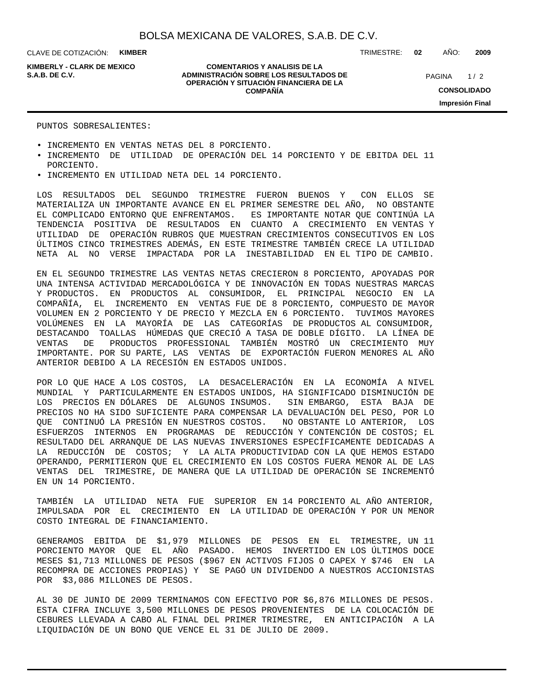CLAVE DE COTIZACIÓN: **KIMBER**

**KIMBERLY - CLARK DE MEXICO**

#### **COMENTARIOS Y ANALISIS DE LA ADMINISTRACIÓN SOBRE LOS RESULTADOS DE S.A.B. DE C.V.** PAGINA / 2 **OPERACIÓN Y SITUACIÓN FINANCIERA DE LA COMPAÑÍA**

TRIMESTRE: **02** AÑO: **2009**

 $1/2$ **CONSOLIDADO Impresión Final**

#### PUNTOS SOBRESALIENTES:

- INCREMENTO EN VENTAS NETAS DEL 8 PORCIENTO.
- INCREMENTO DE UTILIDAD DE OPERACIÓN DEL 14 PORCIENTO Y DE EBITDA DEL 11 PORCIENTO.
- INCREMENTO EN UTILIDAD NETA DEL 14 PORCIENTO.

LOS RESULTADOS DEL SEGUNDO TRIMESTRE FUERON BUENOS Y CON ELLOS SE MATERIALIZA UN IMPORTANTE AVANCE EN EL PRIMER SEMESTRE DEL AÑO, NO OBSTANTE EL COMPLICADO ENTORNO QUE ENFRENTAMOS. ES IMPORTANTE NOTAR QUE CONTINÚA LA TENDENCIA POSITIVA DE RESULTADOS EN CUANTO A CRECIMIENTO EN VENTAS Y UTILIDAD DE OPERACIÓN RUBROS QUE MUESTRAN CRECIMIENTOS CONSECUTIVOS EN LOS ÚLTIMOS CINCO TRIMESTRES ADEMÁS, EN ESTE TRIMESTRE TAMBIÉN CRECE LA UTILIDAD NETA AL NO VERSE IMPACTADA POR LA INESTABILIDAD EN EL TIPO DE CAMBIO.

EN EL SEGUNDO TRIMESTRE LAS VENTAS NETAS CRECIERON 8 PORCIENTO, APOYADAS POR UNA INTENSA ACTIVIDAD MERCADOLÓGICA Y DE INNOVACIÓN EN TODAS NUESTRAS MARCAS Y PRODUCTOS. EN PRODUCTOS AL CONSUMIDOR, EL PRINCIPAL NEGOCIO EN LA COMPAÑÍA, EL INCREMENTO EN VENTAS FUE DE 8 PORCIENTO, COMPUESTO DE MAYOR VOLUMEN EN 2 PORCIENTO Y DE PRECIO Y MEZCLA EN 6 PORCIENTO. TUVIMOS MAYORES VOLÚMENES EN LA MAYORÍA DE LAS CATEGORÍAS DE PRODUCTOS AL CONSUMIDOR, DESTACANDO TOALLAS HÚMEDAS QUE CRECIÓ A TASA DE DOBLE DÍGITO. LA LÍNEA DE VENTAS DE PRODUCTOS PROFESSIONAL TAMBIÉN MOSTRÓ UN CRECIMIENTO MUY IMPORTANTE. POR SU PARTE, LAS VENTAS DE EXPORTACIÓN FUERON MENORES AL AÑO ANTERIOR DEBIDO A LA RECESIÓN EN ESTADOS UNIDOS.

POR LO QUE HACE A LOS COSTOS, LA DESACELERACIÓN EN LA ECONOMÍA A NIVEL MUNDIAL Y PARTICULARMENTE EN ESTADOS UNIDOS, HA SIGNIFICADO DISMINUCIÓN DE LOS PRECIOS EN DÓLARES DE ALGUNOS INSUMOS. SIN EMBARGO, ESTA BAJA DE PRECIOS NO HA SIDO SUFICIENTE PARA COMPENSAR LA DEVALUACIÓN DEL PESO, POR LO QUE CONTINUÓ LA PRESIÓN EN NUESTROS COSTOS. NO OBSTANTE LO ANTERIOR, LOS ESFUERZOS INTERNOS EN PROGRAMAS DE REDUCCIÓN Y CONTENCIÓN DE COSTOS; EL RESULTADO DEL ARRANQUE DE LAS NUEVAS INVERSIONES ESPECÍFICAMENTE DEDICADAS A LA REDUCCIÓN DE COSTOS; Y LA ALTA PRODUCTIVIDAD CON LA QUE HEMOS ESTADO OPERANDO, PERMITIERON QUE EL CRECIMIENTO EN LOS COSTOS FUERA MENOR AL DE LAS VENTAS DEL TRIMESTRE, DE MANERA QUE LA UTILIDAD DE OPERACIÓN SE INCREMENTÓ EN UN 14 PORCIENTO.

TAMBIÉN LA UTILIDAD NETA FUE SUPERIOR EN 14 PORCIENTO AL AÑO ANTERIOR, IMPULSADA POR EL CRECIMIENTO EN LA UTILIDAD DE OPERACIÓN Y POR UN MENOR COSTO INTEGRAL DE FINANCIAMIENTO.

GENERAMOS EBITDA DE \$1,979 MILLONES DE PESOS EN EL TRIMESTRE, UN 11 PORCIENTO MAYOR QUE EL AÑO PASADO. HEMOS INVERTIDO EN LOS ÚLTIMOS DOCE MESES \$1,713 MILLONES DE PESOS (\$967 EN ACTIVOS FIJOS O CAPEX Y \$746 EN LA RECOMPRA DE ACCIONES PROPIAS) Y SE PAGÓ UN DIVIDENDO A NUESTROS ACCIONISTAS POR \$3,086 MILLONES DE PESOS.

AL 30 DE JUNIO DE 2009 TERMINAMOS CON EFECTIVO POR \$6,876 MILLONES DE PESOS. ESTA CIFRA INCLUYE 3,500 MILLONES DE PESOS PROVENIENTES DE LA COLOCACIÓN DE CEBURES LLEVADA A CABO AL FINAL DEL PRIMER TRIMESTRE, EN ANTICIPACIÓN A LA LIQUIDACIÓN DE UN BONO QUE VENCE EL 31 DE JULIO DE 2009.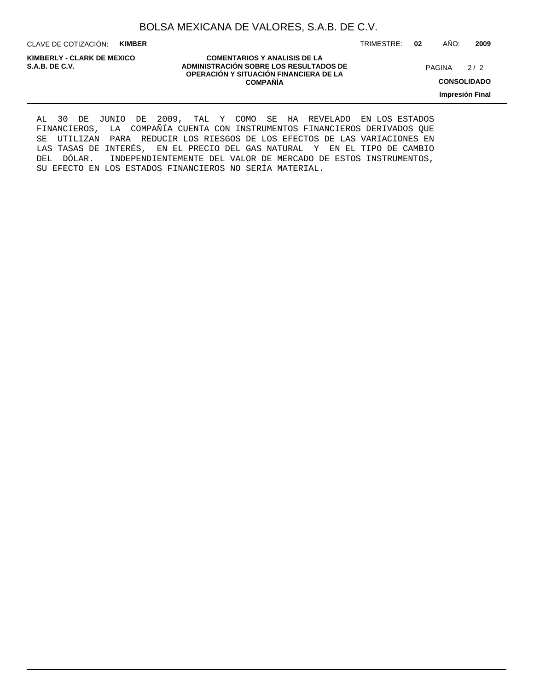CLAVE DE COTIZACIÓN: **KIMBER**

**KIMBERLY - CLARK DE MEXICO**

**COMENTARIOS Y ANALISIS DE LA ADMINISTRACIÓN SOBRE LOS RESULTADOS DE PAGINA 2/2 ADMINISTRACIÓN SOBRE LOS RESULTADOS DE** PAGINA 2/2 **OPERACIÓN Y SITUACIÓN FINANCIERA DE LA COMPAÑÍA**

 $2/2$ 

TRIMESTRE: **02** AÑO: **2009**

**CONSOLIDADO**

**Impresión Final**

AL 30 DE JUNIO DE 2009, TAL Y COMO SE HA REVELADO EN LOS ESTADOS FINANCIEROS, LA COMPAÑÍA CUENTA CON INSTRUMENTOS FINANCIEROS DERIVADOS QUE SE UTILIZAN PARA REDUCIR LOS RIESGOS DE LOS EFECTOS DE LAS VARIACIONES EN LAS TASAS DE INTERÉS, EN EL PRECIO DEL GAS NATURAL Y EN EL TIPO DE CAMBIO DEL DÓLAR. INDEPENDIENTEMENTE DEL VALOR DE MERCADO DE ESTOS INSTRUMENTOS, SU EFECTO EN LOS ESTADOS FINANCIEROS NO SERÍA MATERIAL.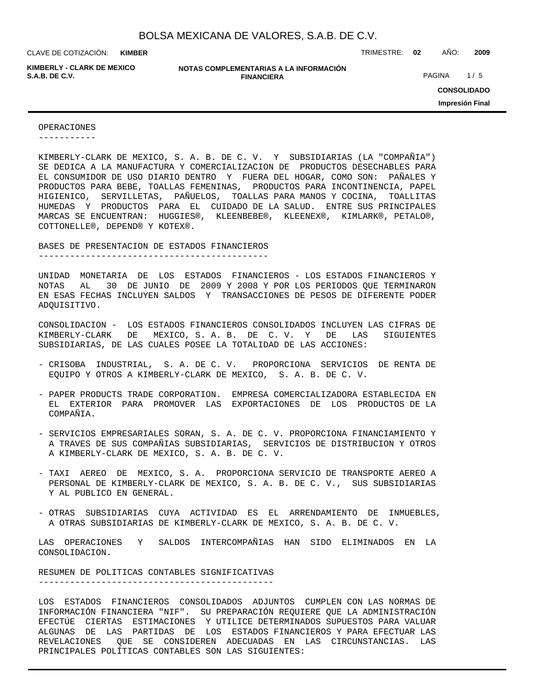**KIMBER**

**KIMBERLY - CLARK DE MEXICO**

**NOTAS COMPLEMENTARIAS A LA INFORMACIÓN FINANCIERA S.A.B. DE C.V.** PAGINA 1/5

CLAVE DE COTIZACIÓN: TRIMESTRE: **02** AÑO: **2009**

**CONSOLIDADO Impresión Final**

#### OPERACIONES

-----------

KIMBERLY-CLARK DE MEXICO, S. A. B. DE C. V. Y SUBSIDIARIAS (LA "COMPAÑIA") SE DEDICA A LA MANUFACTURA Y COMERCIALIZACION DE PRODUCTOS DESECHABLES PARA EL CONSUMIDOR DE USO DIARIO DENTRO Y FUERA DEL HOGAR, COMO SON: PAÑALES Y PRODUCTOS PARA BEBE, TOALLAS FEMENINAS, PRODUCTOS PARA INCONTINENCIA, PAPEL HIGIENICO, SERVILLETAS, PAÑUELOS, TOALLAS PARA MANOS Y COCINA, TOALLITAS HUMEDAS Y PRODUCTOS PARA EL CUIDADO DE LA SALUD. ENTRE SUS PRINCIPALES MARCAS SE ENCUENTRAN: HUGGIES®, KLEENBEBE®, KLEENEX®, KIMLARK®, PETALO®, COTTONELLE®, DEPEND® Y KOTEX®.

BASES DE PRESENTACION DE ESTADOS FINANCIEROS

--------------------------------------------

UNIDAD MONETARIA DE LOS ESTADOS FINANCIEROS - LOS ESTADOS FINANCIEROS Y NOTAS AL 30 DE JUNIO DE 2009 Y 2008 Y POR LOS PERIODOS QUE TERMINARON EN ESAS FECHAS INCLUYEN SALDOS Y TRANSACCIONES DE PESOS DE DIFERENTE PODER ADQUISITIVO.

CONSOLIDACION - LOS ESTADOS FINANCIEROS CONSOLIDADOS INCLUYEN LAS CIFRAS DE KIMBERLY-CLARK DE MEXICO, S. A. B. DE C. V. Y DE LAS SIGUIENTES SUBSIDIARIAS, DE LAS CUALES POSEE LA TOTALIDAD DE LAS ACCIONES:

- CRISOBA INDUSTRIAL, S. A. DE C. V. PROPORCIONA SERVICIOS DE RENTA DE EQUIPO Y OTROS A KIMBERLY-CLARK DE MEXICO, S. A. B. DE C. V.
- PAPER PRODUCTS TRADE CORPORATION. EMPRESA COMERCIALIZADORA ESTABLECIDA EN EL EXTERIOR PARA PROMOVER LAS EXPORTACIONES DE LOS PRODUCTOS DE LA COMPAÑIA.
- SERVICIOS EMPRESARIALES SORAN, S. A. DE C. V. PROPORCIONA FINANCIAMIENTO Y A TRAVES DE SUS COMPAÑIAS SUBSIDIARIAS, SERVICIOS DE DISTRIBUCION Y OTROS A KIMBERLY-CLARK DE MEXICO, S. A. B. DE C. V.
- TAXI AEREO DE MEXICO, S. A. PROPORCIONA SERVICIO DE TRANSPORTE AEREO A PERSONAL DE KIMBERLY-CLARK DE MEXICO, S. A. B. DE C. V., SUS SUBSIDIARIAS Y AL PUBLICO EN GENERAL.
- OTRAS SUBSIDIARIAS CUYA ACTIVIDAD ES EL ARRENDAMIENTO DE INMUEBLES, A OTRAS SUBSIDIARIAS DE KIMBERLY-CLARK DE MEXICO, S. A. B. DE C. V.

LAS OPERACIONES Y SALDOS INTERCOMPAÑIAS HAN SIDO ELIMINADOS EN LA CONSOLIDACION.

RESUMEN DE POLITICAS CONTABLES SIGNIFICATIVAS ---------------------------------------------

LOS ESTADOS FINANCIEROS CONSOLIDADOS ADJUNTOS CUMPLEN CON LAS NORMAS DE INFORMACIÓN FINANCIERA "NIF". SU PREPARACIÓN REQUIERE QUE LA ADMINISTRACIÓN EFECTÚE CIERTAS ESTIMACIONES Y UTILICE DETERMINADOS SUPUESTOS PARA VALUAR ALGUNAS DE LAS PARTIDAS DE LOS ESTADOS FINANCIEROS Y PARA EFECTUAR LAS REVELACIONES QUE SE CONSIDEREN ADECUADAS EN LAS CIRCUNSTANCIAS. LAS PRINCIPALES POLÍTICAS CONTABLES SON LAS SIGUIENTES: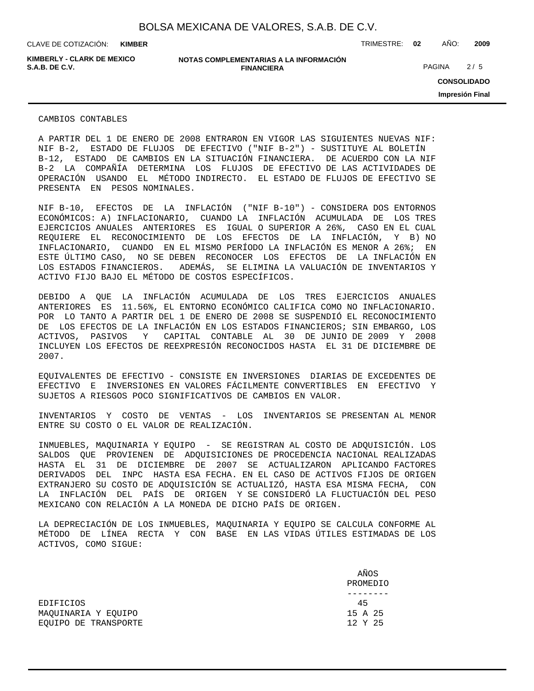**KIMBER**

CLAVE DE COTIZACIÓN: TRIMESTRE: **02** AÑO: **2009**

**KIMBERLY - CLARK DE MEXICO**

**NOTAS COMPLEMENTARIAS A LA INFORMACIÓN FINANCIERA S.A.B. DE C.V.** PAGINA 2 / 5

**CONSOLIDADO Impresión Final**

CAMBIOS CONTABLES

A PARTIR DEL 1 DE ENERO DE 2008 ENTRARON EN VIGOR LAS SIGUIENTES NUEVAS NIF: NIF B-2, ESTADO DE FLUJOS DE EFECTIVO ("NIF B-2") - SUSTITUYE AL BOLETÍN B-12, ESTADO DE CAMBIOS EN LA SITUACIÓN FINANCIERA. DE ACUERDO CON LA NIF B-2 LA COMPAÑÍA DETERMINA LOS FLUJOS DE EFECTIVO DE LAS ACTIVIDADES DE OPERACIÓN USANDO EL MÉTODO INDIRECTO. EL ESTADO DE FLUJOS DE EFECTIVO SE PRESENTA EN PESOS NOMINALES.

NIF B-10, EFECTOS DE LA INFLACIÓN ("NIF B-10") - CONSIDERA DOS ENTORNOS ECONÓMICOS: A) INFLACIONARIO, CUANDO LA INFLACIÓN ACUMULADA DE LOS TRES EJERCICIOS ANUALES ANTERIORES ES IGUAL O SUPERIOR A 26%, CASO EN EL CUAL REQUIERE EL RECONOCIMIENTO DE LOS EFECTOS DE LA INFLACIÓN, Y B) NO INFLACIONARIO, CUANDO EN EL MISMO PERÍODO LA INFLACIÓN ES MENOR A 26%; EN ESTE ÚLTIMO CASO, NO SE DEBEN RECONOCER LOS EFECTOS DE LA INFLACIÓN EN LOS ESTADOS FINANCIEROS. ADEMÁS, SE ELIMINA LA VALUACIÓN DE INVENTARIOS Y ACTIVO FIJO BAJO EL MÉTODO DE COSTOS ESPECÍFICOS.

DEBIDO A QUE LA INFLACIÓN ACUMULADA DE LOS TRES EJERCICIOS ANUALES ANTERIORES ES 11.56%, EL ENTORNO ECONÓMICO CALIFICA COMO NO INFLACIONARIO. POR LO TANTO A PARTIR DEL 1 DE ENERO DE 2008 SE SUSPENDIÓ EL RECONOCIMIENTO DE LOS EFECTOS DE LA INFLACIÓN EN LOS ESTADOS FINANCIEROS; SIN EMBARGO, LOS ACTIVOS, PASIVOS Y CAPITAL CONTABLE AL 30 DE JUNIO DE 2009 Y 2008 INCLUYEN LOS EFECTOS DE REEXPRESIÓN RECONOCIDOS HASTA EL 31 DE DICIEMBRE DE 2007.

EQUIVALENTES DE EFECTIVO - CONSISTE EN INVERSIONES DIARIAS DE EXCEDENTES DE EFECTIVO E INVERSIONES EN VALORES FÁCILMENTE CONVERTIBLES EN EFECTIVO Y SUJETOS A RIESGOS POCO SIGNIFICATIVOS DE CAMBIOS EN VALOR.

INVENTARIOS Y COSTO DE VENTAS - LOS INVENTARIOS SE PRESENTAN AL MENOR ENTRE SU COSTO O EL VALOR DE REALIZACIÓN.

INMUEBLES, MAQUINARIA Y EQUIPO - SE REGISTRAN AL COSTO DE ADQUISICIÓN. LOS SALDOS QUE PROVIENEN DE ADQUISICIONES DE PROCEDENCIA NACIONAL REALIZADAS HASTA EL 31 DE DICIEMBRE DE 2007 SE ACTUALIZARON APLICANDO FACTORES DERIVADOS DEL INPC HASTA ESA FECHA. EN EL CASO DE ACTIVOS FIJOS DE ORIGEN EXTRANJERO SU COSTO DE ADQUISICIÓN SE ACTUALIZÓ, HASTA ESA MISMA FECHA, CON LA INFLACIÓN DEL PAÍS DE ORIGEN Y SE CONSIDERÓ LA FLUCTUACIÓN DEL PESO MEXICANO CON RELACIÓN A LA MONEDA DE DICHO PAÍS DE ORIGEN.

LA DEPRECIACIÓN DE LOS INMUEBLES, MAQUINARIA Y EQUIPO SE CALCULA CONFORME AL MÉTODO DE LÍNEA RECTA Y CON BASE EN LAS VIDAS ÚTILES ESTIMADAS DE LOS ACTIVOS, COMO SIGUE:

|                      | AÑOS     |
|----------------------|----------|
|                      | PROMEDIO |
|                      |          |
| <b>EDIFICIOS</b>     | 45       |
| MAOUINARIA Y EOUIPO  | 15 A 25  |
| EOUIPO DE TRANSPORTE | 12 Y 25  |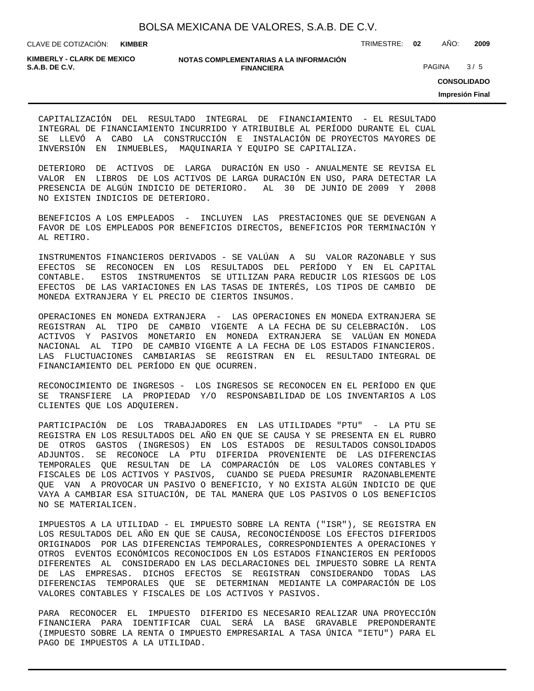**KIMBER**

CLAVE DE COTIZACIÓN: TRIMESTRE: **02** AÑO: **2009**

**KIMBERLY - CLARK DE MEXICO**

#### **NOTAS COMPLEMENTARIAS A LA INFORMACIÓN FINANCIERA S.A.B. DE C.V. S.A.B. DE C.V. PAGINA** 3/5

**CONSOLIDADO**

**Impresión Final**

CAPITALIZACIÓN DEL RESULTADO INTEGRAL DE FINANCIAMIENTO - EL RESULTADO INTEGRAL DE FINANCIAMIENTO INCURRIDO Y ATRIBUIBLE AL PERÍODO DURANTE EL CUAL SE LLEVÓ A CABO LA CONSTRUCCIÓN E INSTALACIÓN DE PROYECTOS MAYORES DE INVERSIÓN EN INMUEBLES, MAQUINARIA Y EQUIPO SE CAPITALIZA.

DETERIORO DE ACTIVOS DE LARGA DURACIÓN EN USO - ANUALMENTE SE REVISA EL VALOR EN LIBROS DE LOS ACTIVOS DE LARGA DURACIÓN EN USO, PARA DETECTAR LA PRESENCIA DE ALGÚN INDICIO DE DETERIORO. AL 30 DE JUNIO DE 2009 Y 2008 NO EXISTEN INDICIOS DE DETERIORO.

BENEFICIOS A LOS EMPLEADOS - INCLUYEN LAS PRESTACIONES QUE SE DEVENGAN A FAVOR DE LOS EMPLEADOS POR BENEFICIOS DIRECTOS, BENEFICIOS POR TERMINACIÓN Y AL RETIRO.

INSTRUMENTOS FINANCIEROS DERIVADOS - SE VALÚAN A SU VALOR RAZONABLE Y SUS EFECTOS SE RECONOCEN EN LOS RESULTADOS DEL PERÍODO Y EN EL CAPITAL CONTABLE. ESTOS INSTRUMENTOS SE UTILIZAN PARA REDUCIR LOS RIESGOS DE LOS EFECTOS DE LAS VARIACIONES EN LAS TASAS DE INTERÉS, LOS TIPOS DE CAMBIO DE MONEDA EXTRANJERA Y EL PRECIO DE CIERTOS INSUMOS.

OPERACIONES EN MONEDA EXTRANJERA - LAS OPERACIONES EN MONEDA EXTRANJERA SE REGISTRAN AL TIPO DE CAMBIO VIGENTE A LA FECHA DE SU CELEBRACIÓN. LOS ACTIVOS Y PASIVOS MONETARIO EN MONEDA EXTRANJERA SE VALÚAN EN MONEDA NACIONAL AL TIPO DE CAMBIO VIGENTE A LA FECHA DE LOS ESTADOS FINANCIEROS. LAS FLUCTUACIONES CAMBIARIAS SE REGISTRAN EN EL RESULTADO INTEGRAL DE FINANCIAMIENTO DEL PERÍODO EN QUE OCURREN.

RECONOCIMIENTO DE INGRESOS - LOS INGRESOS SE RECONOCEN EN EL PERÍODO EN QUE SE TRANSFIERE LA PROPIEDAD Y/O RESPONSABILIDAD DE LOS INVENTARIOS A LOS CLIENTES QUE LOS ADQUIEREN.

PARTICIPACIÓN DE LOS TRABAJADORES EN LAS UTILIDADES "PTU" - LA PTU SE REGISTRA EN LOS RESULTADOS DEL AÑO EN QUE SE CAUSA Y SE PRESENTA EN EL RUBRO DE OTROS GASTOS (INGRESOS) EN LOS ESTADOS DE RESULTADOS CONSOLIDADOS ADJUNTOS. SE RECONOCE LA PTU DIFERIDA PROVENIENTE DE LAS DIFERENCIAS TEMPORALES QUE RESULTAN DE LA COMPARACIÓN DE LOS VALORES CONTABLES Y FISCALES DE LOS ACTIVOS Y PASIVOS, CUANDO SE PUEDA PRESUMIR RAZONABLEMENTE QUE VAN A PROVOCAR UN PASIVO O BENEFICIO, Y NO EXISTA ALGÚN INDICIO DE QUE VAYA A CAMBIAR ESA SITUACIÓN, DE TAL MANERA QUE LOS PASIVOS O LOS BENEFICIOS NO SE MATERIALICEN.

IMPUESTOS A LA UTILIDAD - EL IMPUESTO SOBRE LA RENTA ("ISR"), SE REGISTRA EN LOS RESULTADOS DEL AÑO EN QUE SE CAUSA, RECONOCIÉNDOSE LOS EFECTOS DIFERIDOS ORIGINADOS POR LAS DIFERENCIAS TEMPORALES, CORRESPONDIENTES A OPERACIONES Y OTROS EVENTOS ECONÓMICOS RECONOCIDOS EN LOS ESTADOS FINANCIEROS EN PERÍODOS DIFERENTES AL CONSIDERADO EN LAS DECLARACIONES DEL IMPUESTO SOBRE LA RENTA DE LAS EMPRESAS. DICHOS EFECTOS SE REGISTRAN CONSIDERANDO TODAS LAS DIFERENCIAS TEMPORALES QUE SE DETERMINAN MEDIANTE LA COMPARACIÓN DE LOS VALORES CONTABLES Y FISCALES DE LOS ACTIVOS Y PASIVOS.

PARA RECONOCER EL IMPUESTO DIFERIDO ES NECESARIO REALIZAR UNA PROYECCIÓN FINANCIERA PARA IDENTIFICAR CUAL SERÁ LA BASE GRAVABLE PREPONDERANTE (IMPUESTO SOBRE LA RENTA O IMPUESTO EMPRESARIAL A TASA ÚNICA "IETU") PARA EL PAGO DE IMPUESTOS A LA UTILIDAD.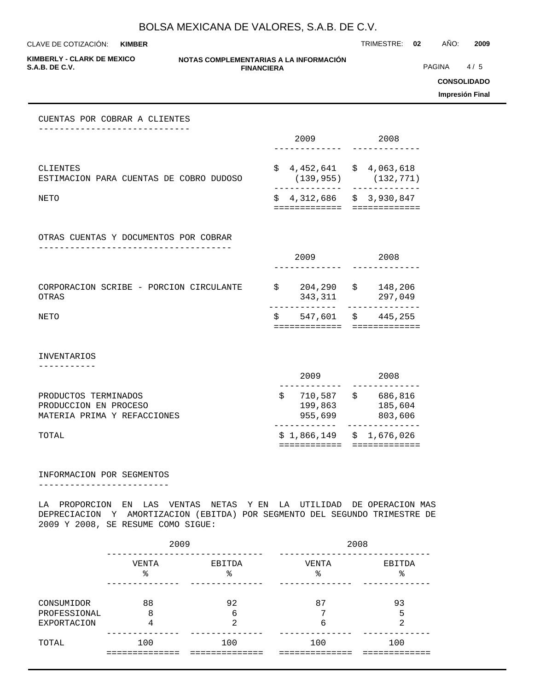CLAVE DE COTIZACIÓN: TRIMESTRE: **02** AÑO: **2009 KIMBER**

**KIMBERLY - CLARK DE MEXICO**

#### **NOTAS COMPLEMENTARIAS A LA INFORMACIÓN FINANCIERA S.A.B. DE C.V.** PAGINA 4 / 5

**CONSOLIDADO**

**Impresión Final**

#### CUENTAS POR COBRAR A CLIENTES -----------------------------

|                                                     | 2009 |                                          |  | 2008       |
|-----------------------------------------------------|------|------------------------------------------|--|------------|
|                                                     |      |                                          |  |            |
| CLIENTES<br>ESTIMACION PARA CUENTAS DE COBRO DUDOSO |      | $$4,452,641 \t $4,063,618$<br>(139, 955) |  | (132, 771) |
| NETO                                                |      | $$4,312,686$ $$3,930,847$                |  |            |

OTRAS CUENTAS Y DOCUMENTOS POR COBRAR -------------------------------------

|                                                  |  |   | 2009               | 2008          |                    |  |
|--------------------------------------------------|--|---|--------------------|---------------|--------------------|--|
|                                                  |  |   |                    |               |                    |  |
| CORPORACION SCRIBE - PORCION CIRCULANTE<br>OTRAS |  | S | 204,290<br>343,311 | $\mathcal{S}$ | 148,206<br>297,049 |  |
| NETO                                             |  | S | 547,601 \$         |               | 445,255            |  |
|                                                  |  |   |                    |               |                    |  |

INVENTARIOS

-----------

| TOTAL                       |         | $$1,866,149 \t$1,676,026$ |
|-----------------------------|---------|---------------------------|
| MATERIA PRIMA Y REFACCIONES | 955,699 | 803,606                   |
| PRODUCCION EN PROCESO       | 199,863 | 185,604                   |
| PRODUCTOS TERMINADOS        | 710,587 | 686,816                   |
|                             | 2009    | 2008                      |
|                             |         |                           |

#### INFORMACION POR SEGMENTOS

-------------------------

LA PROPORCION EN LAS VENTAS NETAS Y EN LA UTILIDAD DE OPERACION MAS DEPRECIACION Y AMORTIZACION (EBITDA) POR SEGMENTO DEL SEGUNDO TRIMESTRE DE 2009 Y 2008, SE RESUME COMO SIGUE:

|                                                  | 2009         |              | 2008       |              |  |  |  |
|--------------------------------------------------|--------------|--------------|------------|--------------|--|--|--|
|                                                  | VENTA<br>ిన  | EBITDA<br>ిన | VENTA<br>ႜ | EBITDA<br>°  |  |  |  |
| CONSUMIDOR<br>PROFESSIONAL<br><b>EXPORTACION</b> | 88<br>8<br>4 | 92<br>6<br>⌒ | 87<br>6    | 93<br>5<br>◠ |  |  |  |
| TOTAL                                            | 100          | 100          | 100        | 100          |  |  |  |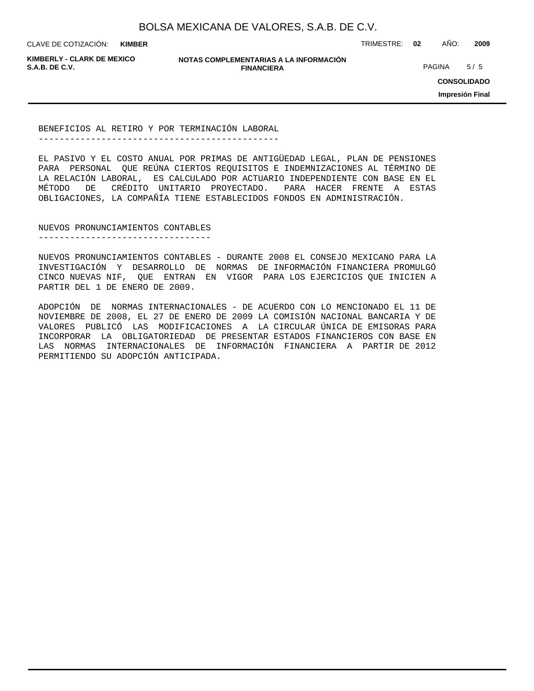**KIMBER**

CLAVE DE COTIZACIÓN: TRIMESTRE: **02** AÑO: **2009**

**KIMBERLY - CLARK DE MEXICO**

**NOTAS COMPLEMENTARIAS A LA INFORMACIÓN FINANCIERA S.A.B. DE C.V.** PAGINA 5 / 5

**CONSOLIDADO**

**Impresión Final**

BENEFICIOS AL RETIRO Y POR TERMINACIÓN LABORAL ----------------------------------------------

EL PASIVO Y EL COSTO ANUAL POR PRIMAS DE ANTIGÜEDAD LEGAL, PLAN DE PENSIONES PARA PERSONAL QUE REÚNA CIERTOS REQUISITOS E INDEMNIZACIONES AL TÉRMINO DE LA RELACIÓN LABORAL, ES CALCULADO POR ACTUARIO INDEPENDIENTE CON BASE EN EL MÉTODO DE CRÉDITO UNITARIO PROYECTADO. PARA HACER FRENTE A ESTAS OBLIGACIONES, LA COMPAÑÍA TIENE ESTABLECIDOS FONDOS EN ADMINISTRACIÓN.

NUEVOS PRONUNCIAMIENTOS CONTABLES ---------------------------------

NUEVOS PRONUNCIAMIENTOS CONTABLES - DURANTE 2008 EL CONSEJO MEXICANO PARA LA INVESTIGACIÓN Y DESARROLLO DE NORMAS DE INFORMACIÓN FINANCIERA PROMULGÓ CINCO NUEVAS NIF, QUE ENTRAN EN VIGOR PARA LOS EJERCICIOS QUE INICIEN A PARTIR DEL 1 DE ENERO DE 2009.

ADOPCIÓN DE NORMAS INTERNACIONALES - DE ACUERDO CON LO MENCIONADO EL 11 DE NOVIEMBRE DE 2008, EL 27 DE ENERO DE 2009 LA COMISIÓN NACIONAL BANCARIA Y DE VALORES PUBLICÓ LAS MODIFICACIONES A LA CIRCULAR ÚNICA DE EMISORAS PARA INCORPORAR LA OBLIGATORIEDAD DE PRESENTAR ESTADOS FINANCIEROS CON BASE EN LAS NORMAS INTERNACIONALES DE INFORMACIÓN FINANCIERA A PARTIR DE 2012 PERMITIENDO SU ADOPCIÓN ANTICIPADA.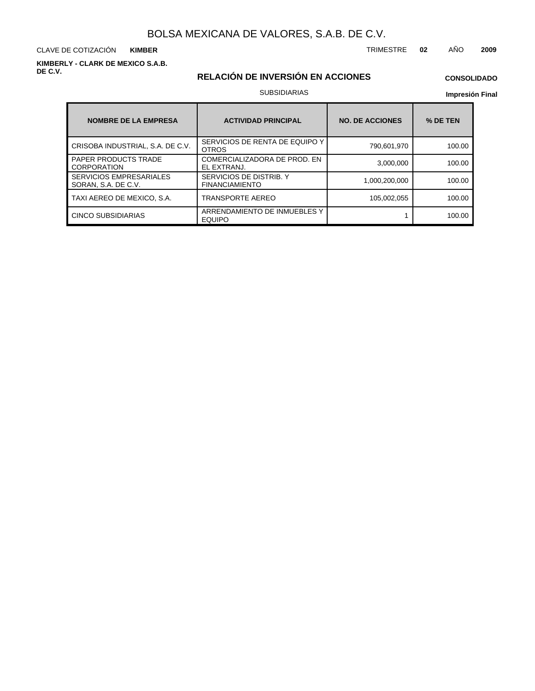CLAVE DE COTIZACIÓN TRIMESTRE **02** AÑO **2009 KIMBER**

**KIMBERLY - CLARK DE MEXICO S.A.B. DE C.V.**

## **RELACIÓN DE INVERSIÓN EN ACCIONES**

## **CONSOLIDADO**

#### SUBSIDIARIAS

| <b>NOMBRE DE LA EMPRESA</b>                           | <b>ACTIVIDAD PRINCIPAL</b>                       | <b>NO. DE ACCIONES</b> | % DE TEN |
|-------------------------------------------------------|--------------------------------------------------|------------------------|----------|
| CRISOBA INDUSTRIAL, S.A. DE C.V.                      | SERVICIOS DE RENTA DE EQUIPO Y<br><b>OTROS</b>   | 790,601,970            | 100.00   |
| <b>PAPER PRODUCTS TRADE</b><br><b>CORPORATION</b>     | COMERCIALIZADORA DE PROD. EN<br>EL EXTRANJ.      | 3,000,000              | 100.00   |
| <b>SERVICIOS EMPRESARIALES</b><br>SORAN, S.A. DE C.V. | SERVICIOS DE DISTRIB. Y<br><b>FINANCIAMIENTO</b> | 1,000,200,000          | 100.00   |
| TAXI AEREO DE MEXICO, S.A.                            | TRANSPORTE AEREO                                 | 105.002.055            | 100.00   |
| CINCO SUBSIDIARIAS                                    | ARRENDAMIENTO DE INMUEBLES Y<br><b>EQUIPO</b>    |                        | 100.00   |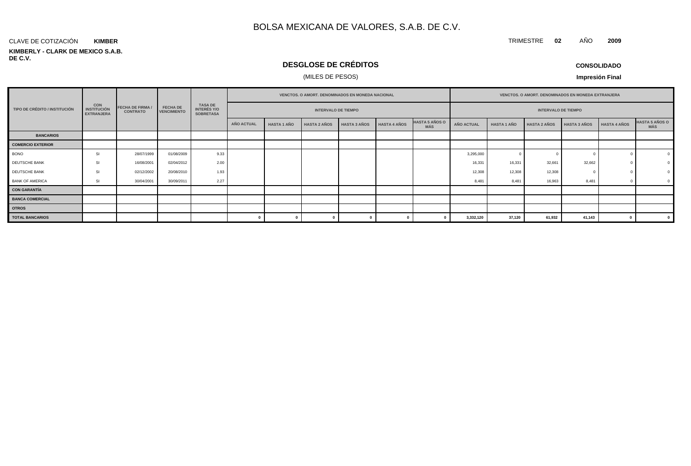#### **KIMBERLY - CLARK DE MEXICO S.A.B. DE C.V.** CLAVE DE COTIZACIÓN **KIMBER**

## **DESGLOSE DE CRÉDITOS**

### (MILES DE PESOS)

**CONSOLIDADO**

TRIMESTRE **02** AÑO **2009**

|                               |                                                       |                                            |                                       |                                                          |            | <b>VENCTOS, O AMORT, DENOMINADOS EN MONEDA NACIONAL</b> |                     |                     |                     |                                     |                   | VENCTOS. O AMORT. DENOMINADOS EN MONEDA EXTRANJERA |                     |                     |                     |                              |  |  |
|-------------------------------|-------------------------------------------------------|--------------------------------------------|---------------------------------------|----------------------------------------------------------|------------|---------------------------------------------------------|---------------------|---------------------|---------------------|-------------------------------------|-------------------|----------------------------------------------------|---------------------|---------------------|---------------------|------------------------------|--|--|
| TIPO DE CRÉDITO / INSTITUCIÓN | <b>CON</b><br><b>INSTITUCIÓN</b><br><b>EXTRANJERA</b> | <b>FECHA DE FIRMA /</b><br><b>CONTRATO</b> | <b>FECHA DE</b><br><b>VENCIMIENTO</b> | <b>TASA DE</b><br><b>INTERÉS Y/O</b><br><b>SOBRETASA</b> |            | <b>INTERVALO DE TIEMPO</b>                              |                     |                     |                     |                                     |                   | <b>INTERVALO DE TIEMPO</b>                         |                     |                     |                     |                              |  |  |
|                               |                                                       |                                            |                                       |                                                          | AÑO ACTUAL | <b>HASTA 1 AÑO</b>                                      | <b>HASTA 2 AÑOS</b> | <b>HASTA 3 AÑOS</b> | <b>HASTA 4 AÑOS</b> | <b>HASTA 5 AÑOS O</b><br><b>MÁS</b> | <b>AÑO ACTUAL</b> | <b>HASTA 1 AÑO</b>                                 | <b>HASTA 2 AÑOS</b> | <b>HASTA 3 AÑOS</b> | <b>HASTA 4 AÑOS</b> | <b>HASTA 5 AÑOS O</b><br>MÁS |  |  |
| <b>BANCARIOS</b>              |                                                       |                                            |                                       |                                                          |            |                                                         |                     |                     |                     |                                     |                   |                                                    |                     |                     |                     |                              |  |  |
| <b>COMERCIO EXTERIOR</b>      |                                                       |                                            |                                       |                                                          |            |                                                         |                     |                     |                     |                                     |                   |                                                    |                     |                     |                     |                              |  |  |
| <b>BONO</b>                   | SI                                                    | 28/07/1999                                 | 01/08/2009                            | 9.33                                                     |            |                                                         |                     |                     |                     |                                     | 3,295,000         |                                                    |                     |                     |                     | $\Omega$                     |  |  |
| DEUTSCHE BANK                 | SI                                                    | 16/08/2001                                 | 02/04/2012                            | 2.00                                                     |            |                                                         |                     |                     |                     |                                     | 16,331            | 16.331                                             | 32,661              | 32,662              |                     |                              |  |  |
| DEUTSCHE BANK                 | SI.                                                   | 02/12/2002                                 | 20/08/2010                            | 1.93                                                     |            |                                                         |                     |                     |                     |                                     | 12,308            | 12,308                                             | 12,308              |                     |                     |                              |  |  |
| <b>BANK OF AMERICA</b>        | SI                                                    | 30/04/2001                                 | 30/09/2011                            | 2.27                                                     |            |                                                         |                     |                     |                     |                                     | 8,481             | 8.481                                              | 16,963              | 8,481               |                     |                              |  |  |
| <b>CON GARANTÍA</b>           |                                                       |                                            |                                       |                                                          |            |                                                         |                     |                     |                     |                                     |                   |                                                    |                     |                     |                     |                              |  |  |
| <b>BANCA COMERCIAL</b>        |                                                       |                                            |                                       |                                                          |            |                                                         |                     |                     |                     |                                     |                   |                                                    |                     |                     |                     |                              |  |  |
| <b>OTROS</b>                  |                                                       |                                            |                                       |                                                          |            |                                                         |                     |                     |                     |                                     |                   |                                                    |                     |                     |                     |                              |  |  |
| <b>TOTAL BANCARIOS</b>        |                                                       |                                            |                                       |                                                          |            |                                                         |                     |                     |                     |                                     | 3,332,120         | 37,120                                             | 61,932              | 41,143              |                     | 0                            |  |  |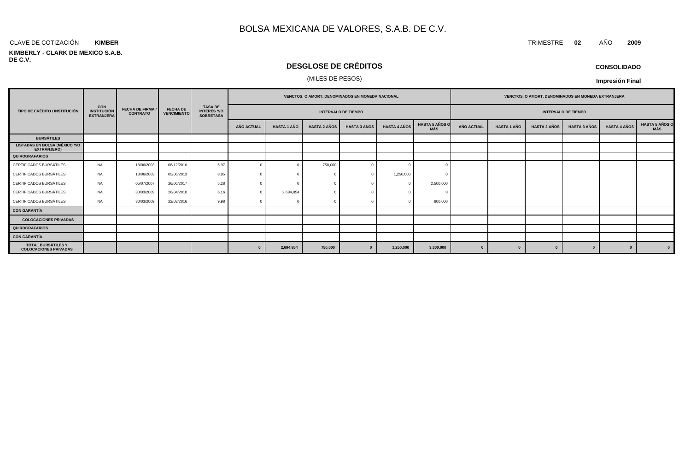#### CLAVE DE COTIZACIÓN TRIMESTRE **02** AÑO **2009 KIMBER**

#### **KIMBERLY - CLARK DE MEXICO S.A.B. DE C.V.**

## **DESGLOSE DE CRÉDITOS**

#### (MILES DE PESOS)

| <b>CONSOLIDADO</b> |  |
|--------------------|--|
|--------------------|--|

|                                                            |                                                       |                                            | <b>FECHA DE</b><br><b>VENCIMIENTO</b> |                                                          |                            | <b>VENCTOS, O AMORT, DENOMINADOS EN MONEDA NACIONAL</b> |                     |                     |                     |                              |                   |                            | <b>VENCTOS, O AMORT, DENOMINADOS EN MONEDA EXTRANJERA</b> |                     |                     |                                     |
|------------------------------------------------------------|-------------------------------------------------------|--------------------------------------------|---------------------------------------|----------------------------------------------------------|----------------------------|---------------------------------------------------------|---------------------|---------------------|---------------------|------------------------------|-------------------|----------------------------|-----------------------------------------------------------|---------------------|---------------------|-------------------------------------|
| TIPO DE CRÉDITO / INSTITUCIÓN                              | <b>CON</b><br><b>INSTITUCIÓN</b><br><b>EXTRANJERA</b> | <b>FECHA DE FIRMA /</b><br><b>CONTRATO</b> |                                       | <b>TASA DE</b><br><b>INTERÉS Y/O</b><br><b>SOBRETASA</b> | <b>INTERVALO DE TIEMPO</b> |                                                         |                     |                     |                     |                              |                   | <b>INTERVALO DE TIEMPO</b> |                                                           |                     |                     |                                     |
|                                                            |                                                       |                                            |                                       |                                                          | <b>AÑO ACTUAL</b>          | <b>HASTA 1 AÑO</b>                                      | <b>HASTA 2 AÑOS</b> | <b>HASTA 3 AÑOS</b> | <b>HASTA 4 AÑOS</b> | <b>HASTA 5 AÑOS O</b><br>MÁS | <b>AÑO ACTUAL</b> | <b>HASTA 1 AÑO</b>         | <b>HASTA 2 AÑOS</b>                                       | <b>HASTA 3 AÑOS</b> | <b>HASTA 4 AÑOS</b> | <b>HASTA 5 AÑOS O</b><br><b>MÁS</b> |
| <b>BURSÁTILES</b>                                          |                                                       |                                            |                                       |                                                          |                            |                                                         |                     |                     |                     |                              |                   |                            |                                                           |                     |                     |                                     |
| <b>LISTADAS EN BOLSA (MÉXICO Y/O</b><br><b>EXTRANJERO)</b> |                                                       |                                            |                                       |                                                          |                            |                                                         |                     |                     |                     |                              |                   |                            |                                                           |                     |                     |                                     |
| QUIROGRAFARIOS                                             |                                                       |                                            |                                       |                                                          |                            |                                                         |                     |                     |                     |                              |                   |                            |                                                           |                     |                     |                                     |
| CERTIFICADOS BURSÁTILES                                    | <b>NA</b>                                             | 18/06/2003                                 | 08/12/2010                            | 5.97                                                     |                            |                                                         | 750,000             |                     |                     |                              |                   |                            |                                                           |                     |                     |                                     |
| CERTIFICADOS BURSÁTILES                                    | <b>NA</b>                                             | 18/06/2003                                 | 05/06/2013                            | 8.95                                                     |                            |                                                         | - 0                 |                     | 1,250,000           |                              |                   |                            |                                                           |                     |                     |                                     |
| CERTIFICADOS BURSÁTILES                                    | <b>NA</b>                                             | 05/07/2007                                 | 26/06/2017                            | 5.28                                                     |                            |                                                         |                     |                     | $\Omega$            | 2,500,000                    |                   |                            |                                                           |                     |                     |                                     |
| CERTIFICADOS BURSÁTILES                                    | <b>NA</b>                                             | 30/03/2009                                 | 26/04/2010                            | 6.16                                                     |                            | 2,694,854                                               | $\sqrt{ }$          |                     |                     |                              |                   |                            |                                                           |                     |                     |                                     |
| CERTIFICADOS BURSÁTILES                                    | <b>NA</b>                                             | 30/03/2009                                 | 22/03/2016                            | 9.98                                                     |                            |                                                         |                     |                     |                     | 800,000                      |                   |                            |                                                           |                     |                     |                                     |
| <b>CON GARANTÍA</b>                                        |                                                       |                                            |                                       |                                                          |                            |                                                         |                     |                     |                     |                              |                   |                            |                                                           |                     |                     |                                     |
| <b>COLOCACIONES PRIVADAS</b>                               |                                                       |                                            |                                       |                                                          |                            |                                                         |                     |                     |                     |                              |                   |                            |                                                           |                     |                     |                                     |
| <b>QUIROGRAFARIOS</b>                                      |                                                       |                                            |                                       |                                                          |                            |                                                         |                     |                     |                     |                              |                   |                            |                                                           |                     |                     |                                     |
| CON GARANTÍA                                               |                                                       |                                            |                                       |                                                          |                            |                                                         |                     |                     |                     |                              |                   |                            |                                                           |                     |                     |                                     |
| TOTAL BURSÁTILES Y<br><b>COLOCACIONES PRIVADAS</b>         |                                                       |                                            |                                       |                                                          |                            | 2,694,854                                               | 750,000             |                     | 1,250,000           | 3,300,000                    |                   |                            |                                                           |                     | $\Omega$            | $\mathbf{0}$                        |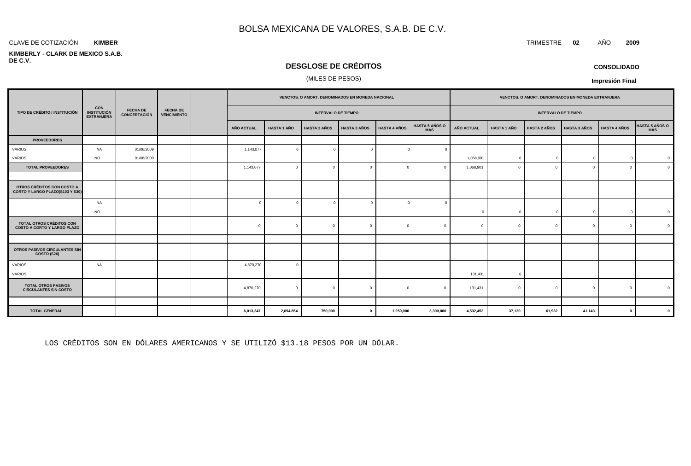#### **KIMBER**

#### **KIMBERLY - CLARK DE MEXICO S.A.B. DE C.V.**

## **DESGLOSE DE CRÉDITOS**

### (MILES DE PESOS)

|                                                                       |                                                       |                                        |                                       |            |                    | VENCTOS. O AMORT. DENOMINADOS EN MONEDA NACIONAL |                     |                     |                                     |                   |                    | VENCTOS. O AMORT. DENOMINADOS EN MONEDA EXTRANJERA |                     |                     |                |
|-----------------------------------------------------------------------|-------------------------------------------------------|----------------------------------------|---------------------------------------|------------|--------------------|--------------------------------------------------|---------------------|---------------------|-------------------------------------|-------------------|--------------------|----------------------------------------------------|---------------------|---------------------|----------------|
| TIPO DE CRÉDITO / INSTITUCIÓN                                         | <b>CON</b><br><b>INSTITUCIÓN</b><br><b>EXTRANJERA</b> | <b>FECHA DE</b><br><b>CONCERTACIÓN</b> | <b>FECHA DE</b><br><b>VENCIMIENTO</b> |            |                    | <b>INTERVALO DE TIEMPO</b>                       |                     |                     |                                     |                   |                    | <b>INTERVALO DE TIEMPO</b>                         |                     |                     |                |
|                                                                       |                                                       |                                        |                                       | AÑO ACTUAL | <b>HASTA 1 AÑO</b> | <b>HASTA 2 AÑOS</b>                              | <b>HASTA 3 AÑOS</b> | <b>HASTA 4 AÑOS</b> | <b>HASTA 5 AÑOS O</b><br><b>MÁS</b> | <b>AÑO ACTUAL</b> | <b>HASTA 1 AÑO</b> | <b>HASTA 2 AÑOS</b>                                | <b>HASTA 3 AÑOS</b> | <b>HASTA 4 AÑOS</b> | HASTA 5 AÑOS O |
| <b>PROVEEDORES</b>                                                    |                                                       |                                        |                                       |            |                    |                                                  |                     |                     |                                     |                   |                    |                                                    |                     |                     |                |
| VARIOS                                                                | NA                                                    | 01/06/2009                             |                                       | 1,143,077  | $\Omega$           | $\overline{0}$                                   | $\Omega$            | $\Omega$            |                                     |                   |                    |                                                    |                     |                     |                |
| VARIOS                                                                | <b>NO</b>                                             | 01/06/2009                             |                                       |            |                    |                                                  |                     |                     |                                     | 1,068,901         | $\Omega$           | $\Omega$                                           |                     | $\Omega$            |                |
| <b>TOTAL PROVEEDORES</b>                                              |                                                       |                                        |                                       | 1,143,077  | $\mathbf{0}$       | $\mathbf{0}$                                     | $\Omega$            | $\Omega$            | $\Omega$                            | 1,068,901         | $\Omega$           | $\Omega$                                           | $\Omega$            | $\mathbf{0}$        |                |
|                                                                       |                                                       |                                        |                                       |            |                    |                                                  |                     |                     |                                     |                   |                    |                                                    |                     |                     |                |
| OTROS CRÉDITOS CON COSTO A<br>CORTO Y LARGO PLAZO(S103 Y S30)         |                                                       |                                        |                                       |            |                    |                                                  |                     |                     |                                     |                   |                    |                                                    |                     |                     |                |
|                                                                       | <b>NA</b>                                             |                                        |                                       | $\sqrt{ }$ |                    | $\overline{0}$                                   | $\Omega$            | $\Omega$            |                                     |                   |                    |                                                    |                     |                     |                |
|                                                                       | <b>NO</b>                                             |                                        |                                       |            |                    |                                                  |                     |                     |                                     | $\Omega$          | $\Omega$           | $\mathbf{0}$                                       |                     | $\mathbf{0}$        | $\mathsf{C}$   |
| <b>TOTAL OTROS CRÉDITOS CON</b><br><b>COSTO A CORTO Y LARGO PLAZO</b> |                                                       |                                        |                                       | $\Omega$   | $\Omega$           | $\overline{0}$                                   | $\Omega$            | $\Omega$            | $\sqrt{ }$                          |                   |                    | $\Omega$                                           | $\Omega$            | $\Omega$            |                |
|                                                                       |                                                       |                                        |                                       |            |                    |                                                  |                     |                     |                                     |                   |                    |                                                    |                     |                     |                |
| OTROS PASIVOS CIRCULANTES SIN<br>COSTO (S26)                          |                                                       |                                        |                                       |            |                    |                                                  |                     |                     |                                     |                   |                    |                                                    |                     |                     |                |
| VARIOS                                                                | NA                                                    |                                        |                                       | 4,870,270  |                    |                                                  |                     |                     |                                     |                   |                    |                                                    |                     |                     |                |
| VARIOS                                                                |                                                       |                                        |                                       |            |                    |                                                  |                     |                     |                                     | 131,431           | $\Omega$           |                                                    |                     |                     |                |
| <b>TOTAL OTROS PASIVOS</b><br><b>CIRCULANTES SIN COSTO</b>            |                                                       |                                        |                                       | 4,870,270  | $\Omega$           | $\overline{0}$                                   | $\Omega$            | $\mathbf{0}$        | $\Omega$                            | 131,431           | $\Omega$           | $\Omega$                                           | $\Omega$            | $\overline{0}$      |                |
|                                                                       |                                                       |                                        |                                       |            |                    |                                                  |                     |                     |                                     |                   |                    |                                                    |                     |                     |                |
| <b>TOTAL GENERAL</b>                                                  |                                                       |                                        |                                       | 6,013,347  | 2,694,854          | 750,000                                          | $\mathbf{0}$        | 1,250,000           | 3,300,000                           | 4,532,452         | 37,120             | 61,932                                             | 41,143              | $\mathbf 0$         |                |

LOS CRÉDITOS SON EN DÓLARES AMERICANOS Y SE UTILIZÓ \$13.18 PESOS POR UN DÓLAR.

CLAVE DE COTIZACIÓN TRIMESTRE **02** AÑO **2009**

**CONSOLIDADO**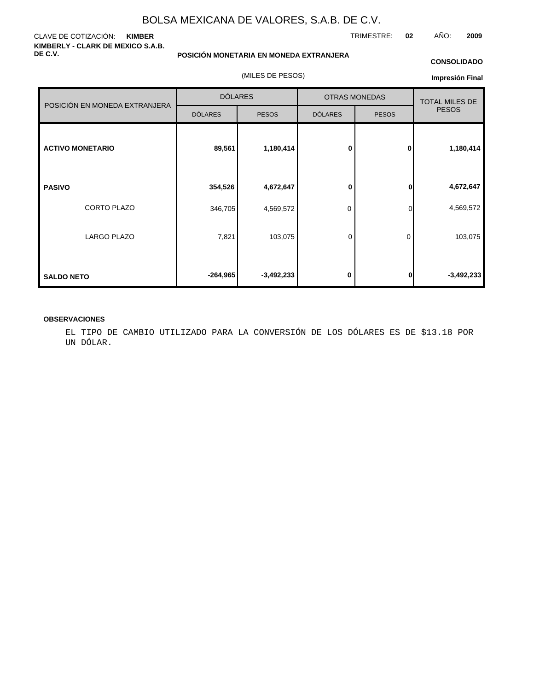#### CLAVE DE COTIZACIÓN: **KIMBER KIMBERLY - CLARK DE MEXICO S.A.B. DE C.V.**

**POSICIÓN MONETARIA EN MONEDA EXTRANJERA**

(MILES DE PESOS)

#### **CONSOLIDADO**

**Impresión Final**

|                               | <b>DÓLARES</b> |              |                | <b>OTRAS MONEDAS</b> | <b>TOTAL MILES DE</b> |  |
|-------------------------------|----------------|--------------|----------------|----------------------|-----------------------|--|
| POSICIÓN EN MONEDA EXTRANJERA | <b>DÓLARES</b> | <b>PESOS</b> | <b>DÓLARES</b> | <b>PESOS</b>         | <b>PESOS</b>          |  |
| <b>ACTIVO MONETARIO</b>       | 89,561         | 1,180,414    | $\bf{0}$       | $\mathbf{0}$         | 1,180,414             |  |
| <b>PASIVO</b>                 | 354,526        | 4,672,647    | 0              | 0                    | 4,672,647             |  |
| CORTO PLAZO                   | 346,705        | 4,569,572    | 0              | 0                    | 4,569,572             |  |
| <b>LARGO PLAZO</b>            | 7,821          | 103,075      | 0              | 0                    | 103,075               |  |
| <b>SALDO NETO</b>             | $-264,965$     | $-3,492,233$ | 0              | 0                    | $-3,492,233$          |  |

#### **OBSERVACIONES**

EL TIPO DE CAMBIO UTILIZADO PARA LA CONVERSIÓN DE LOS DÓLARES ES DE \$13.18 POR UN DÓLAR.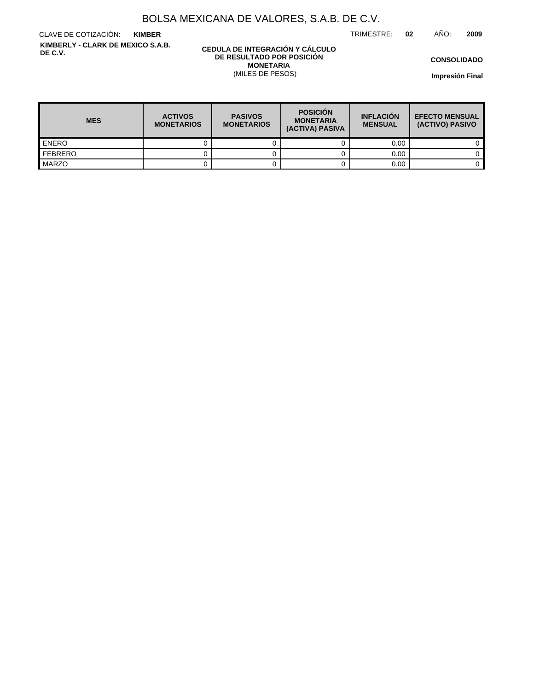TRIMESTRE: **02** AÑO: **2009**

CLAVE DE COTIZACIÓN: **KIMBER KIMBERLY - CLARK DE MEXICO S.A.B. DE C.V.**

#### **CEDULA DE INTEGRACIÓN Y CÁLCULO DE RESULTADO POR POSICIÓN MONETARIA** (MILES DE PESOS)

**CONSOLIDADO**

| <b>MES</b>       | <b>ACTIVOS</b><br><b>MONETARIOS</b> | <b>PASIVOS</b><br><b>MONETARIOS</b> | <b>POSICIÓN</b><br><b>MONETARIA</b><br>(ACTIVA) PASIVA | <b>INFLACIÓN</b><br><b>MENSUAL</b> | <b>EFECTO MENSUAL</b><br>(ACTIVO) PASIVO |
|------------------|-------------------------------------|-------------------------------------|--------------------------------------------------------|------------------------------------|------------------------------------------|
| <b>ENERO</b>     |                                     |                                     |                                                        | 0.00                               |                                          |
| <b>I</b> FEBRERO |                                     |                                     |                                                        | 0.00                               |                                          |
| <b>MARZO</b>     |                                     |                                     |                                                        | 0.00                               |                                          |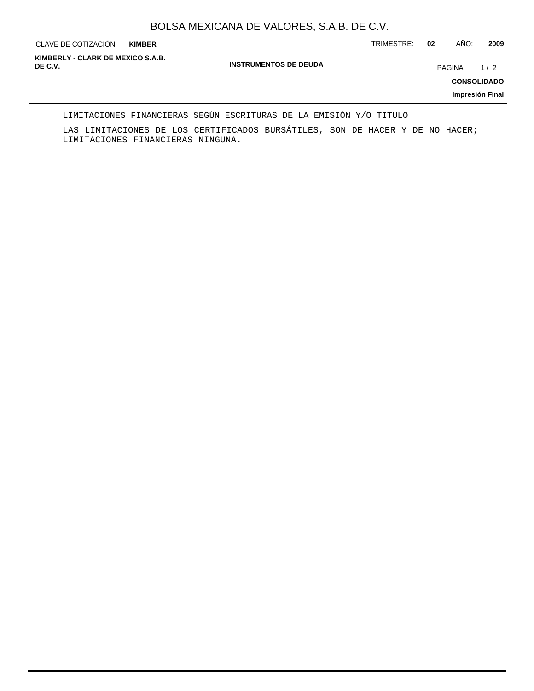**KIMBER**

CLAVE DE COTIZACIÓN: TRIMESTRE: **02** AÑO: **2009**

**INSTRUMENTOS DE DEUDA DE C.V.** PAGINA 1 / 2 **KIMBERLY - CLARK DE MEXICO S.A.B.**

**CONSOLIDADO**

**Impresión Final**

#### LIMITACIONES FINANCIERAS SEGÚN ESCRITURAS DE LA EMISIÓN Y/O TITULO

LAS LIMITACIONES DE LOS CERTIFICADOS BURSÁTILES, SON DE HACER Y DE NO HACER; LIMITACIONES FINANCIERAS NINGUNA.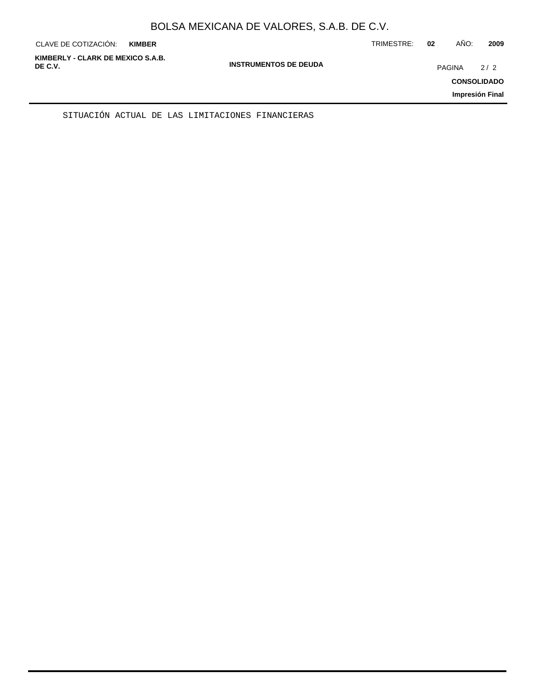| KIMBERLY - CLARK DE MEXICO S.A.B.<br><b>INSTRUMENTOS DE DEUDA</b><br>DE C.V.<br><b>PAGINA</b><br>2/2<br><b>CONSOLIDADO</b><br>Impresión Final | CLAVE DE COTIZACIÓN: | <b>KIMBER</b> | TRIMESTRE: | 02 | AÑO: | 2009 |
|-----------------------------------------------------------------------------------------------------------------------------------------------|----------------------|---------------|------------|----|------|------|
|                                                                                                                                               |                      |               |            |    |      |      |

SITUACIÓN ACTUAL DE LAS LIMITACIONES FINANCIERAS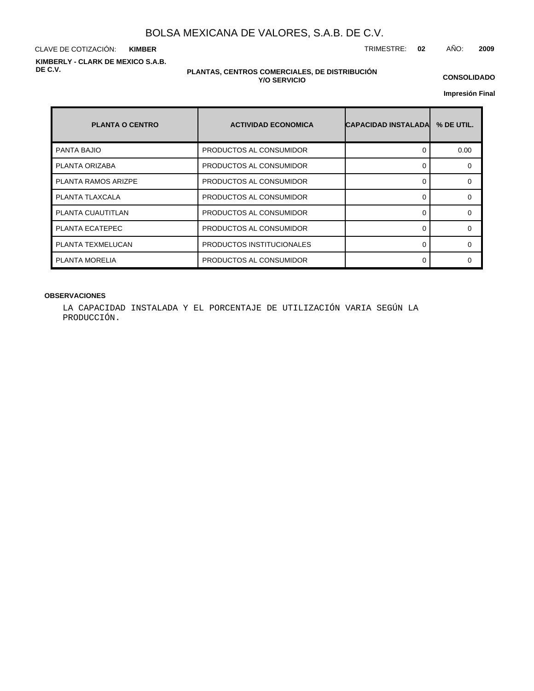CLAVE DE COTIZACIÓN: TRIMESTRE: **02** AÑO: **2009 KIMBER KIMBERLY - CLARK DE MEXICO S.A.B. DE C.V.**

#### **PLANTAS, CENTROS COMERCIALES, DE DISTRIBUCIÓN Y/O SERVICIO**

**CONSOLIDADO**

**Impresión Final**

| <b>PLANTA O CENTRO</b>     | <b>ACTIVIDAD ECONOMICA</b> | <b>CAPACIDAD INSTALADA</b> | % DE UTIL. |
|----------------------------|----------------------------|----------------------------|------------|
| <b>PANTA BAJIO</b>         | PRODUCTOS AL CONSUMIDOR    |                            | 0.00       |
| PLANTA ORIZABA             | PRODUCTOS AL CONSUMIDOR    |                            | $\Omega$   |
| <b>PLANTA RAMOS ARIZPE</b> | PRODUCTOS AL CONSUMIDOR    | ∩                          | $\Omega$   |
| PLANTA TLAXCALA            | PRODUCTOS AL CONSUMIDOR    |                            | $\Omega$   |
| PLANTA CUAUTITLAN          | PRODUCTOS AL CONSUMIDOR    |                            | $\Omega$   |
| PLANTA ECATEPEC            | PRODUCTOS AL CONSUMIDOR    | ∩                          | $\Omega$   |
| PLANTA TEXMELUCAN          | PRODUCTOS INSTITUCIONALES  |                            | 0          |
| PLANTA MORELIA             | PRODUCTOS AL CONSUMIDOR    |                            | ∩          |

#### **OBSERVACIONES**

LA CAPACIDAD INSTALADA Y EL PORCENTAJE DE UTILIZACIÓN VARIA SEGÚN LA PRODUCCIÓN.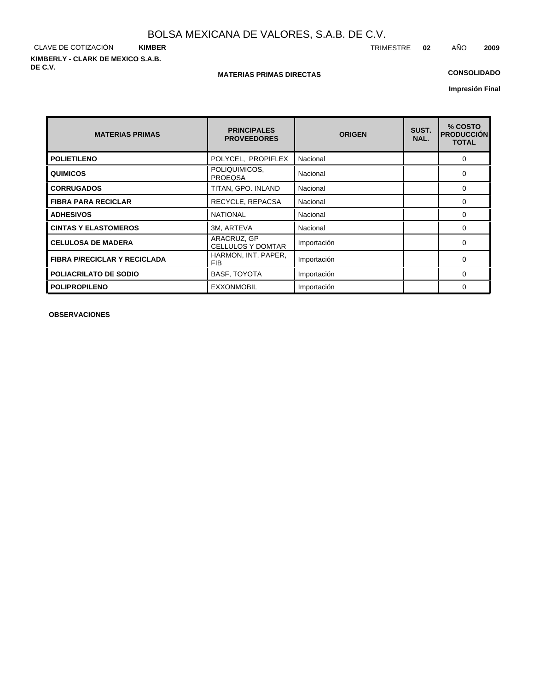CLAVE DE COTIZACIÓN **KIMBER KIMBERLY - CLARK DE MEXICO S.A.B. DE C.V.**

#### **MATERIAS PRIMAS DIRECTAS**

## **CONSOLIDADO**

**Impresión Final**

| <b>MATERIAS PRIMAS</b>              | <b>PRINCIPALES</b><br><b>PROVEEDORES</b> | <b>ORIGEN</b> | SUST.<br>NAL. | % COSTO<br><b>PRODUCCIÓN</b><br><b>TOTAL</b> |
|-------------------------------------|------------------------------------------|---------------|---------------|----------------------------------------------|
| <b>POLIETILENO</b>                  | POLYCEL, PROPIFLEX                       | Nacional      |               | $\Omega$                                     |
| <b>QUIMICOS</b>                     | POLIQUIMICOS,<br><b>PROEQSA</b>          | Nacional      |               | $\Omega$                                     |
| <b>CORRUGADOS</b>                   | TITAN, GPO. INLAND                       | Nacional      |               | $\Omega$                                     |
| <b>FIBRA PARA RECICLAR</b>          | RECYCLE, REPACSA                         | Nacional      |               | 0                                            |
| <b>ADHESIVOS</b>                    | <b>NATIONAL</b>                          | Nacional      |               | 0                                            |
| <b>CINTAS Y ELASTOMEROS</b>         | 3M, ARTEVA                               | Nacional      |               | $\Omega$                                     |
| <b>CELULOSA DE MADERA</b>           | ARACRUZ, GP<br><b>CELLULOS Y DOMTAR</b>  | Importación   |               | 0                                            |
| <b>FIBRA P/RECICLAR Y RECICLADA</b> | HARMON, INT. PAPER,<br><b>FIB</b>        | Importación   |               | $\Omega$                                     |
| <b>POLIACRILATO DE SODIO</b>        | <b>BASF, TOYOTA</b>                      | Importación   |               | $\Omega$                                     |
| <b>POLIPROPILENO</b>                | <b>EXXONMOBIL</b>                        | Importación   |               | $\Omega$                                     |

**OBSERVACIONES**

TRIMESTRE **02** AÑO **2009**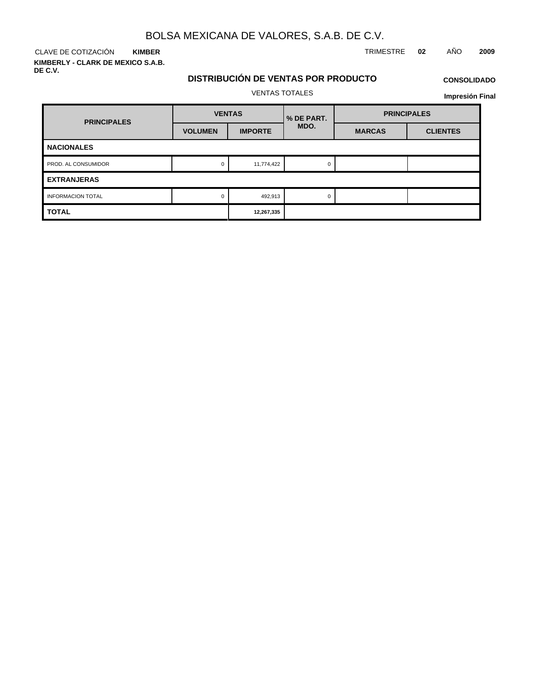CLAVE DE COTIZACIÓN TRIMESTRE **02** AÑO **2009 KIMBER**

**KIMBERLY - CLARK DE MEXICO S.A.B. DE C.V.**

## **DISTRIBUCIÓN DE VENTAS POR PRODUCTO**

## **CONSOLIDADO Impresión Final**

VENTAS TOTALES

| <b>PRINCIPALES</b>       | <b>VENTAS</b>  |                | % DE PART. | <b>PRINCIPALES</b> |                 |  |
|--------------------------|----------------|----------------|------------|--------------------|-----------------|--|
|                          | <b>VOLUMEN</b> | <b>IMPORTE</b> | MDO.       | <b>MARCAS</b>      | <b>CLIENTES</b> |  |
| <b>NACIONALES</b>        |                |                |            |                    |                 |  |
| PROD. AL CONSUMIDOR      | 0              | 11,774,422     | 0          |                    |                 |  |
| <b>EXTRANJERAS</b>       |                |                |            |                    |                 |  |
| <b>INFORMACION TOTAL</b> | $\Omega$       | 492,913        | $\Omega$   |                    |                 |  |
| <b>TOTAL</b>             |                | 12,267,335     |            |                    |                 |  |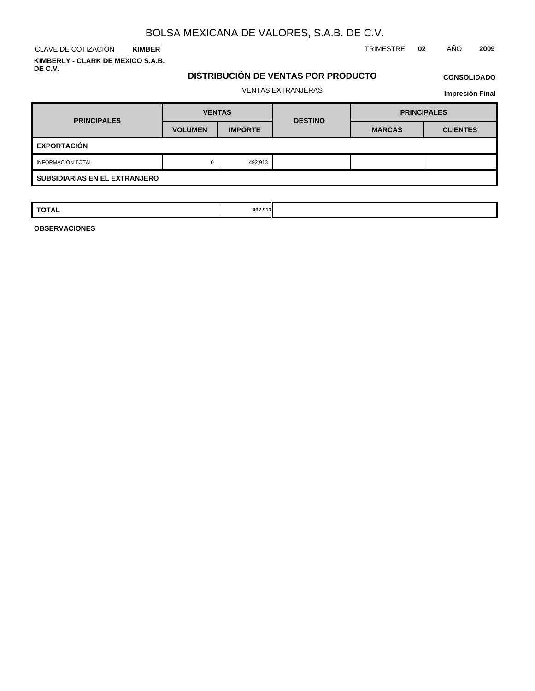CLAVE DE COTIZACIÓN TRIMESTRE **02** AÑO **2009 KIMBER KIMBERLY - CLARK DE MEXICO S.A.B.**

**DE C.V.**

## **DISTRIBUCIÓN DE VENTAS POR PRODUCTO**

## **CONSOLIDADO**

## VENTAS EXTRANJERAS

**Impresión Final**

| <b>PRINCIPALES</b>                   | <b>VENTAS</b>  |                | <b>DESTINO</b> | <b>PRINCIPALES</b> |                 |  |
|--------------------------------------|----------------|----------------|----------------|--------------------|-----------------|--|
|                                      | <b>VOLUMEN</b> | <b>IMPORTE</b> |                | <b>MARCAS</b>      | <b>CLIENTES</b> |  |
| <b>EXPORTACIÓN</b>                   |                |                |                |                    |                 |  |
| 492,913<br><b>INFORMACION TOTAL</b>  |                |                |                |                    |                 |  |
| <b>SUBSIDIARIAS EN EL EXTRANJERO</b> |                |                |                |                    |                 |  |

| <b>TOTAL</b> | 492.913 |  |  |
|--------------|---------|--|--|
|              |         |  |  |

**OBSERVACIONES**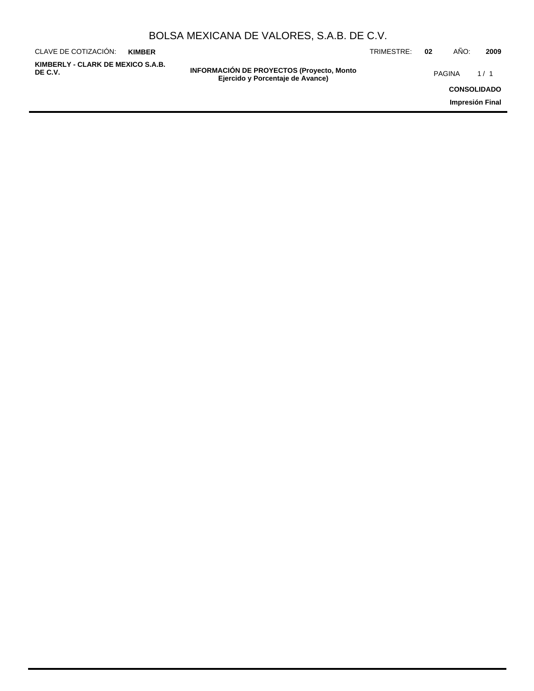| BOLSA MEXICANA DE VALORES, S.A.B. DE C.V. |  |  |  |
|-------------------------------------------|--|--|--|
|-------------------------------------------|--|--|--|

| CLAVE DE COTIZACIÓN:                         | <b>KIMBER</b> |                                                                                       | TRIMESTRE: | 02 | AÑO:               | 2009 |
|----------------------------------------------|---------------|---------------------------------------------------------------------------------------|------------|----|--------------------|------|
| KIMBERLY - CLARK DE MEXICO S.A.B.<br>DE C.V. |               | <b>INFORMACIÓN DE PROYECTOS (Proyecto, Monto)</b><br>Ejercido y Porcentaje de Avance) |            |    | PAGINA             | 1/1  |
|                                              |               |                                                                                       |            |    | <b>CONSOLIDADO</b> |      |
|                                              |               |                                                                                       |            |    | Impresión Final    |      |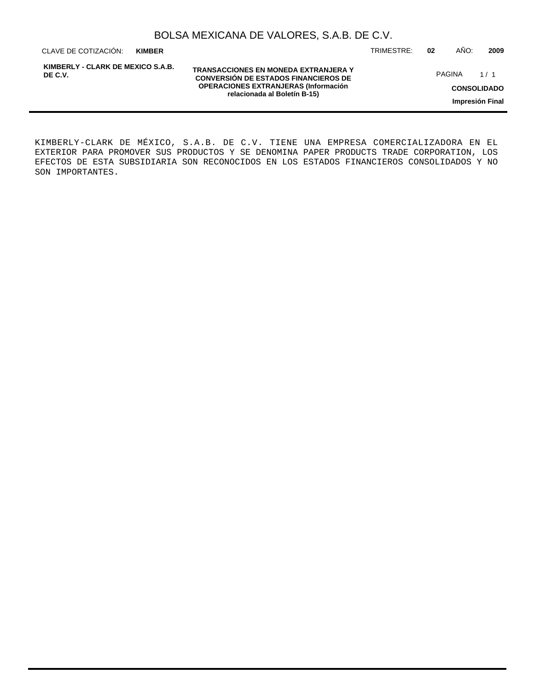| BOLSA MEXICANA DE VALORES, S.A.B. DE C.V. |  |  |  |
|-------------------------------------------|--|--|--|
|-------------------------------------------|--|--|--|

CLAVE DE COTIZACIÓN: TRIMESTRE: **02** AÑO: **2009 KIMBER**

**KIMBERLY - CLARK DE MEXICO S.A.B. DE C.V.**

**TRANSACCIONES EN MONEDA EXTRANJERA Y CONVERSIÓN DE ESTADOS FINANCIEROS DE OPERACIONES EXTRANJERAS (Información relacionada al Boletín B-15)**

PAGINA 1/1

**CONSOLIDADO**

**Impresión Final**

KIMBERLY-CLARK DE MÉXICO, S.A.B. DE C.V. TIENE UNA EMPRESA COMERCIALIZADORA EN EL EXTERIOR PARA PROMOVER SUS PRODUCTOS Y SE DENOMINA PAPER PRODUCTS TRADE CORPORATION, LOS EFECTOS DE ESTA SUBSIDIARIA SON RECONOCIDOS EN LOS ESTADOS FINANCIEROS CONSOLIDADOS Y NO SON IMPORTANTES.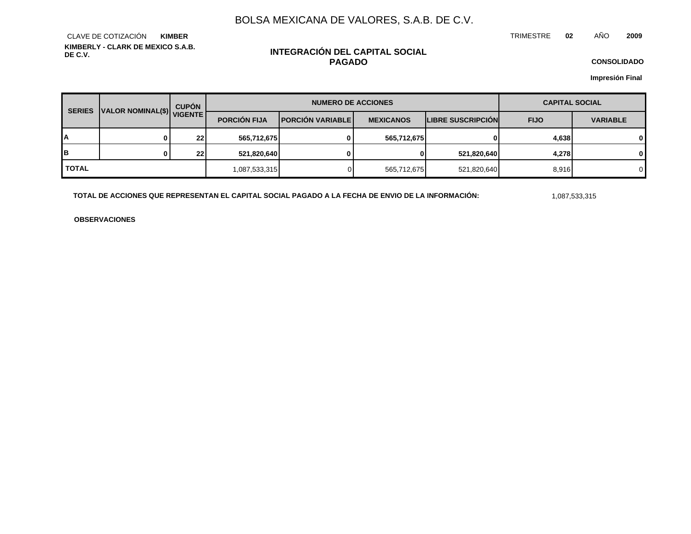TRIMESTRE **02** AÑO **2009**

**KIMBERLY - CLARK DE MEXICO S.A.B. DE C.V.** CLAVE DE COTIZACIÓN **KIMBER**

## **INTEGRACIÓN DEL CAPITAL SOCIAL PAGADO**

**CONSOLIDADO**

**Impresión Final**

| <b>SERIES</b> | VALOR NOMINAL(\$) VIGENTE | <b>CUPÓN</b> | <b>NUMERO DE ACCIONES</b> |                           |                  |                          | <b>CAPITAL SOCIAL</b> |                 |
|---------------|---------------------------|--------------|---------------------------|---------------------------|------------------|--------------------------|-----------------------|-----------------|
|               |                           |              | <b>PORCIÓN FIJA</b>       | <b>IPORCIÓN VARIABLEI</b> | <b>MEXICANOS</b> | <b>LIBRE SUSCRIPCION</b> | <b>FIJO</b>           | <b>VARIABLE</b> |
| A             |                           | 22           | 565,712,675               | 0                         | 565,712,675      | 01                       | 4,638                 | 0               |
| IB.           |                           | 22           | 521,820,640               |                           | 0                | 521,820,640              | 4,278                 | 0               |
| <b>TOTAL</b>  |                           |              | 1,087,533,315             |                           | 565,712,675      | 521,820,640              | 8,916                 | 0               |

**TOTAL DE ACCIONES QUE REPRESENTAN EL CAPITAL SOCIAL PAGADO A LA FECHA DE ENVIO DE LA INFORMACIÓN:** 1,087,533,315

**OBSERVACIONES**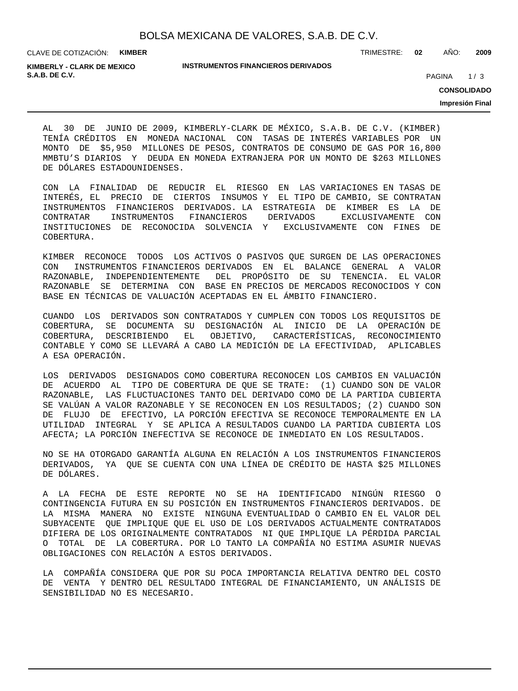CLAVE DE COTIZACIÓN: **KIMBER**

**INSTRUMENTOS FINANCIEROS DERIVADOS**

TRIMESTRE: **02** AÑO: **2009**

**S.A.B. DE C.V.** 2020 **PAGINA 2020** 20:00 **PAGINA 20:00 20:00 PAGINA 20:00 PAGINA** 20:00 **PAGINA KIMBERLY - CLARK DE MEXICO**

**CONSOLIDADO**

**Impresión Final**

AL 30 DE JUNIO DE 2009, KIMBERLY-CLARK DE MÉXICO, S.A.B. DE C.V. (KIMBER) TENÍA CRÉDITOS EN MONEDA NACIONAL CON TASAS DE INTERÉS VARIABLES POR UN MONTO DE \$5,950 MILLONES DE PESOS, CONTRATOS DE CONSUMO DE GAS POR 16,800 MMBTU'S DIARIOS Y DEUDA EN MONEDA EXTRANJERA POR UN MONTO DE \$263 MILLONES DE DÓLARES ESTADOUNIDENSES.

CON LA FINALIDAD DE REDUCIR EL RIESGO EN LAS VARIACIONES EN TASAS DE INTERÉS, EL PRECIO DE CIERTOS INSUMOS Y EL TIPO DE CAMBIO, SE CONTRATAN INSTRUMENTOS FINANCIEROS DERIVADOS. LA ESTRATEGIA DE KIMBER ES LA DE CONTRATAR INSTRUMENTOS FINANCIEROS DERIVADOS EXCLUSIVAMENTE CON INSTITUCIONES DE RECONOCIDA SOLVENCIA Y EXCLUSIVAMENTE CON FINES DE COBERTURA.

KIMBER RECONOCE TODOS LOS ACTIVOS O PASIVOS QUE SURGEN DE LAS OPERACIONES CON INSTRUMENTOS FINANCIEROS DERIVADOS EN EL BALANCE GENERAL A VALOR RAZONABLE, INDEPENDIENTEMENTE DEL PROPÓSITO DE SU TENENCIA. EL VALOR RAZONABLE SE DETERMINA CON BASE EN PRECIOS DE MERCADOS RECONOCIDOS Y CON BASE EN TÉCNICAS DE VALUACIÓN ACEPTADAS EN EL ÁMBITO FINANCIERO.

CUANDO LOS DERIVADOS SON CONTRATADOS Y CUMPLEN CON TODOS LOS REQUISITOS DE COBERTURA, SE DOCUMENTA SU DESIGNACIÓN AL INICIO DE LA OPERACIÓN DE COBERTURA, DESCRIBIENDO EL OBJETIVO, CARACTERÍSTICAS, RECONOCIMIENTO CONTABLE Y COMO SE LLEVARÁ A CABO LA MEDICIÓN DE LA EFECTIVIDAD, APLICABLES A ESA OPERACIÓN.

LOS DERIVADOS DESIGNADOS COMO COBERTURA RECONOCEN LOS CAMBIOS EN VALUACIÓN DE ACUERDO AL TIPO DE COBERTURA DE QUE SE TRATE: (1) CUANDO SON DE VALOR RAZONABLE, LAS FLUCTUACIONES TANTO DEL DERIVADO COMO DE LA PARTIDA CUBIERTA SE VALÚAN A VALOR RAZONABLE Y SE RECONOCEN EN LOS RESULTADOS; (2) CUANDO SON DE FLUJO DE EFECTIVO, LA PORCIÓN EFECTIVA SE RECONOCE TEMPORALMENTE EN LA UTILIDAD INTEGRAL Y SE APLICA A RESULTADOS CUANDO LA PARTIDA CUBIERTA LOS AFECTA; LA PORCIÓN INEFECTIVA SE RECONOCE DE INMEDIATO EN LOS RESULTADOS.

NO SE HA OTORGADO GARANTÍA ALGUNA EN RELACIÓN A LOS INSTRUMENTOS FINANCIEROS DERIVADOS, YA QUE SE CUENTA CON UNA LÍNEA DE CRÉDITO DE HASTA \$25 MILLONES DE DÓLARES.

A LA FECHA DE ESTE REPORTE NO SE HA IDENTIFICADO NINGÚN RIESGO O CONTINGENCIA FUTURA EN SU POSICIÓN EN INSTRUMENTOS FINANCIEROS DERIVADOS. DE LA MISMA MANERA NO EXISTE NINGUNA EVENTUALIDAD O CAMBIO EN EL VALOR DEL SUBYACENTE QUE IMPLIQUE QUE EL USO DE LOS DERIVADOS ACTUALMENTE CONTRATADOS DIFIERA DE LOS ORIGINALMENTE CONTRATADOS NI QUE IMPLIQUE LA PÉRDIDA PARCIAL O TOTAL DE LA COBERTURA. POR LO TANTO LA COMPAÑÍA NO ESTIMA ASUMIR NUEVAS OBLIGACIONES CON RELACIÓN A ESTOS DERIVADOS.

LA COMPAÑÍA CONSIDERA QUE POR SU POCA IMPORTANCIA RELATIVA DENTRO DEL COSTO DE VENTA Y DENTRO DEL RESULTADO INTEGRAL DE FINANCIAMIENTO, UN ANÁLISIS DE SENSIBILIDAD NO ES NECESARIO.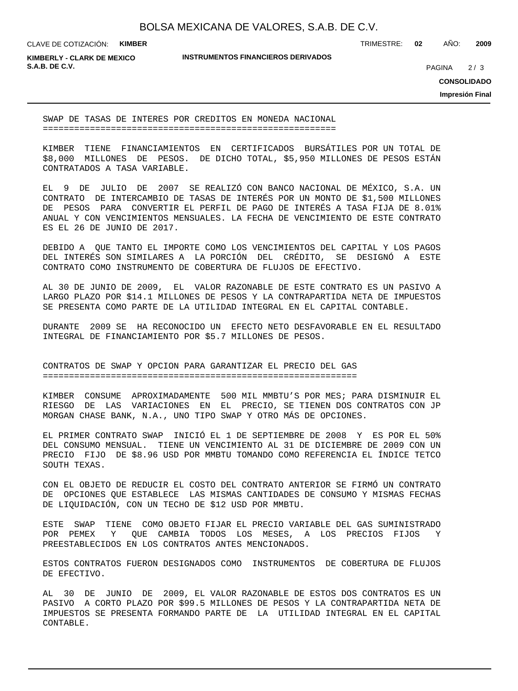CLAVE DE COTIZACIÓN: **KIMBER**

**INSTRUMENTOS FINANCIEROS DERIVADOS**

TRIMESTRE: **02** AÑO: **2009**

**KIMBERLY - CLARK DE MEXICO S.A.B. DE C.V.** PAGINA 2/3

 $2/3$ 

**CONSOLIDADO**

**Impresión Final**

SWAP DE TASAS DE INTERES POR CREDITOS EN MONEDA NACIONAL ========================================================

KIMBER TIENE FINANCIAMIENTOS EN CERTIFICADOS BURSÁTILES POR UN TOTAL DE \$8,000 MILLONES DE PESOS. DE DICHO TOTAL, \$5,950 MILLONES DE PESOS ESTÁN CONTRATADOS A TASA VARIABLE.

EL 9 DE JULIO DE 2007 SE REALIZÓ CON BANCO NACIONAL DE MÉXICO, S.A. UN CONTRATO DE INTERCAMBIO DE TASAS DE INTERÉS POR UN MONTO DE \$1,500 MILLONES DE PESOS PARA CONVERTIR EL PERFIL DE PAGO DE INTERÉS A TASA FIJA DE 8.01% ANUAL Y CON VENCIMIENTOS MENSUALES. LA FECHA DE VENCIMIENTO DE ESTE CONTRATO ES EL 26 DE JUNIO DE 2017.

DEBIDO A QUE TANTO EL IMPORTE COMO LOS VENCIMIENTOS DEL CAPITAL Y LOS PAGOS DEL INTERÉS SON SIMILARES A LA PORCIÓN DEL CRÉDITO, SE DESIGNÓ A ESTE CONTRATO COMO INSTRUMENTO DE COBERTURA DE FLUJOS DE EFECTIVO.

AL 30 DE JUNIO DE 2009, EL VALOR RAZONABLE DE ESTE CONTRATO ES UN PASIVO A LARGO PLAZO POR \$14.1 MILLONES DE PESOS Y LA CONTRAPARTIDA NETA DE IMPUESTOS SE PRESENTA COMO PARTE DE LA UTILIDAD INTEGRAL EN EL CAPITAL CONTABLE.

DURANTE 2009 SE HA RECONOCIDO UN EFECTO NETO DESFAVORABLE EN EL RESULTADO INTEGRAL DE FINANCIAMIENTO POR \$5.7 MILLONES DE PESOS.

CONTRATOS DE SWAP Y OPCION PARA GARANTIZAR EL PRECIO DEL GAS ============================================================

KIMBER CONSUME APROXIMADAMENTE 500 MIL MMBTU'S POR MES; PARA DISMINUIR EL RIESGO DE LAS VARIACIONES EN EL PRECIO, SE TIENEN DOS CONTRATOS CON JP MORGAN CHASE BANK, N.A., UNO TIPO SWAP Y OTRO MÁS DE OPCIONES.

EL PRIMER CONTRATO SWAP INICIÓ EL 1 DE SEPTIEMBRE DE 2008 Y ES POR EL 50% DEL CONSUMO MENSUAL. TIENE UN VENCIMIENTO AL 31 DE DICIEMBRE DE 2009 CON UN PRECIO FIJO DE \$8.96 USD POR MMBTU TOMANDO COMO REFERENCIA EL ÍNDICE TETCO SOUTH TEXAS.

CON EL OBJETO DE REDUCIR EL COSTO DEL CONTRATO ANTERIOR SE FIRMÓ UN CONTRATO DE OPCIONES QUE ESTABLECE LAS MISMAS CANTIDADES DE CONSUMO Y MISMAS FECHAS DE LIQUIDACIÓN, CON UN TECHO DE \$12 USD POR MMBTU.

ESTE SWAP TIENE COMO OBJETO FIJAR EL PRECIO VARIABLE DEL GAS SUMINISTRADO POR PEMEX Y QUE CAMBIA TODOS LOS MESES, A LOS PRECIOS FIJOS Y PREESTABLECIDOS EN LOS CONTRATOS ANTES MENCIONADOS.

ESTOS CONTRATOS FUERON DESIGNADOS COMO INSTRUMENTOS DE COBERTURA DE FLUJOS DE EFECTIVO.

AL 30 DE JUNIO DE 2009, EL VALOR RAZONABLE DE ESTOS DOS CONTRATOS ES UN PASIVO A CORTO PLAZO POR \$99.5 MILLONES DE PESOS Y LA CONTRAPARTIDA NETA DE IMPUESTOS SE PRESENTA FORMANDO PARTE DE LA UTILIDAD INTEGRAL EN EL CAPITAL CONTABLE.